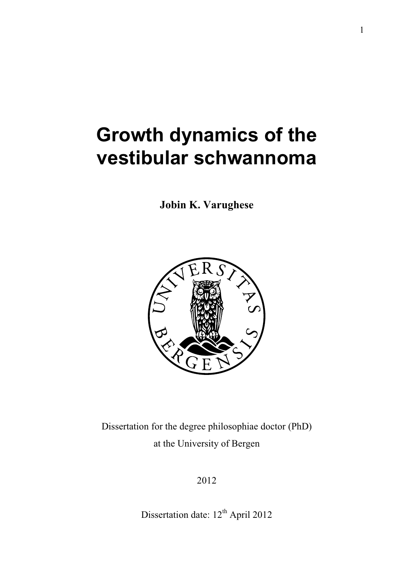# **Growth dynamics of the vestibular schwannoma**

**Jobin K. Varughese** 



Dissertation for the degree philosophiae doctor (PhD) at the University of Bergen

2012

Dissertation date:  $12<sup>th</sup>$  April 2012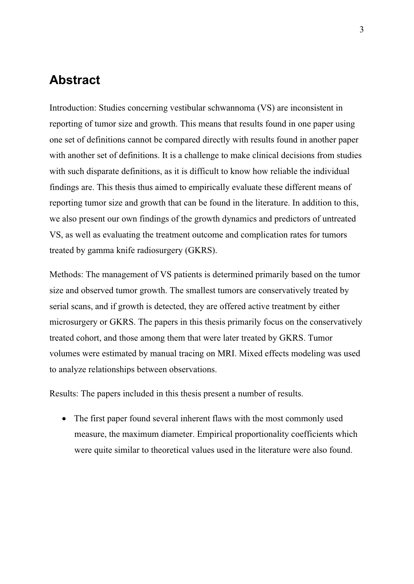### **Abstract**

Introduction: Studies concerning vestibular schwannoma (VS) are inconsistent in reporting of tumor size and growth. This means that results found in one paper using one set of definitions cannot be compared directly with results found in another paper with another set of definitions. It is a challenge to make clinical decisions from studies with such disparate definitions, as it is difficult to know how reliable the individual findings are. This thesis thus aimed to empirically evaluate these different means of reporting tumor size and growth that can be found in the literature. In addition to this, we also present our own findings of the growth dynamics and predictors of untreated VS, as well as evaluating the treatment outcome and complication rates for tumors treated by gamma knife radiosurgery (GKRS).

Methods: The management of VS patients is determined primarily based on the tumor size and observed tumor growth. The smallest tumors are conservatively treated by serial scans, and if growth is detected, they are offered active treatment by either microsurgery or GKRS. The papers in this thesis primarily focus on the conservatively treated cohort, and those among them that were later treated by GKRS. Tumor volumes were estimated by manual tracing on MRI. Mixed effects modeling was used to analyze relationships between observations.

Results: The papers included in this thesis present a number of results.

- The first paper found several inherent flaws with the most commonly used measure, the maximum diameter. Empirical proportionality coefficients which were quite similar to theoretical values used in the literature were also found.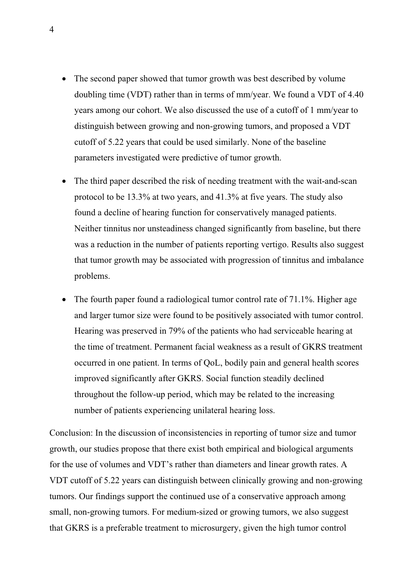- The second paper showed that tumor growth was best described by volume doubling time (VDT) rather than in terms of mm/year. We found a VDT of 4.40 years among our cohort. We also discussed the use of a cutoff of 1 mm/year to distinguish between growing and non-growing tumors, and proposed a VDT cutoff of 5.22 years that could be used similarly. None of the baseline parameters investigated were predictive of tumor growth.
- The third paper described the risk of needing treatment with the wait-and-scan protocol to be 13.3% at two years, and 41.3% at five years. The study also found a decline of hearing function for conservatively managed patients. Neither tinnitus nor unsteadiness changed significantly from baseline, but there was a reduction in the number of patients reporting vertigo. Results also suggest that tumor growth may be associated with progression of tinnitus and imbalance problems.
- The fourth paper found a radiological tumor control rate of 71.1%. Higher age and larger tumor size were found to be positively associated with tumor control. Hearing was preserved in 79% of the patients who had serviceable hearing at the time of treatment. Permanent facial weakness as a result of GKRS treatment occurred in one patient. In terms of QoL, bodily pain and general health scores improved significantly after GKRS. Social function steadily declined throughout the follow-up period, which may be related to the increasing number of patients experiencing unilateral hearing loss.

Conclusion: In the discussion of inconsistencies in reporting of tumor size and tumor growth, our studies propose that there exist both empirical and biological arguments for the use of volumes and VDT's rather than diameters and linear growth rates. A VDT cutoff of 5.22 years can distinguish between clinically growing and non-growing tumors. Our findings support the continued use of a conservative approach among small, non-growing tumors. For medium-sized or growing tumors, we also suggest that GKRS is a preferable treatment to microsurgery, given the high tumor control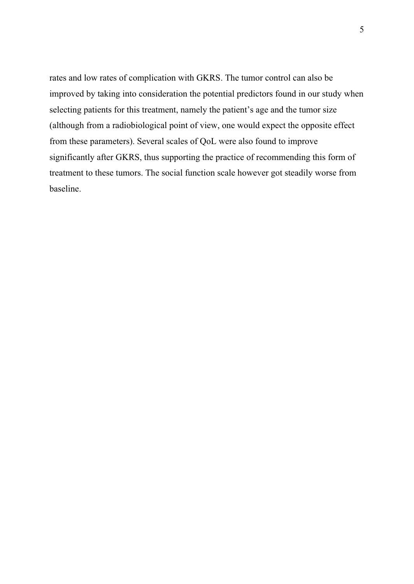rates and low rates of complication with GKRS. The tumor control can also be improved by taking into consideration the potential predictors found in our study when selecting patients for this treatment, namely the patient's age and the tumor size (although from a radiobiological point of view, one would expect the opposite effect from these parameters). Several scales of QoL were also found to improve significantly after GKRS, thus supporting the practice of recommending this form of treatment to these tumors. The social function scale however got steadily worse from baseline.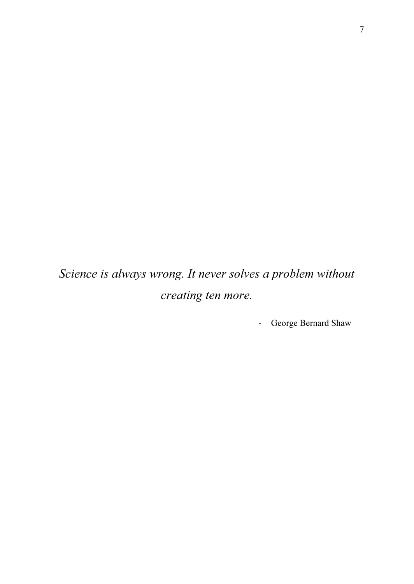# *Science is always wrong. It never solves a problem without creating ten more.*

- George Bernard Shaw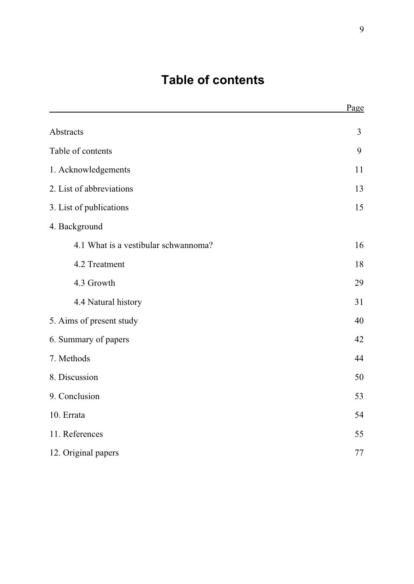## **Table of contents**

|                                      | Page |
|--------------------------------------|------|
| Abstracts                            | 3    |
| Table of contents                    | 9    |
| 1. Acknowledgements                  | 11   |
| 2. List of abbreviations             | 13   |
| 3. List of publications              | 15   |
| 4. Background                        |      |
| 4.1 What is a vestibular schwannoma? | 16   |
| 4.2 Treatment                        | 18   |
| 4.3 Growth                           | 29   |
| 4.4 Natural history                  | 31   |
| 5. Aims of present study             | 40   |
| 6. Summary of papers                 | 42   |
| 7. Methods                           | 44   |
| 8. Discussion                        | 50   |
| 9. Conclusion                        | 53   |
| 10. Errata                           | 54   |
| 11. References                       | 55   |
| 12. Original papers                  | 77   |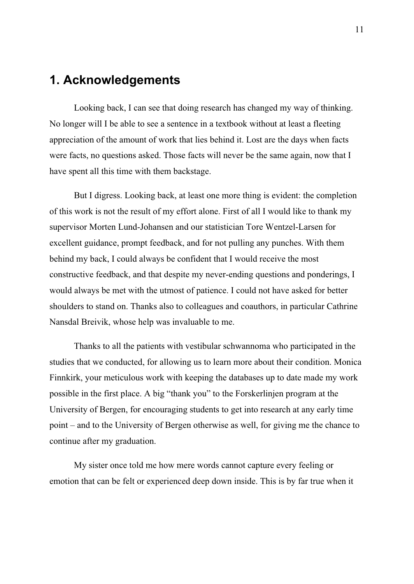### **1. Acknowledgements**

Looking back, I can see that doing research has changed my way of thinking. No longer will I be able to see a sentence in a textbook without at least a fleeting appreciation of the amount of work that lies behind it. Lost are the days when facts were facts, no questions asked. Those facts will never be the same again, now that I have spent all this time with them backstage.

But I digress. Looking back, at least one more thing is evident: the completion of this work is not the result of my effort alone. First of all I would like to thank my supervisor Morten Lund-Johansen and our statistician Tore Wentzel-Larsen for excellent guidance, prompt feedback, and for not pulling any punches. With them behind my back, I could always be confident that I would receive the most constructive feedback, and that despite my never-ending questions and ponderings, I would always be met with the utmost of patience. I could not have asked for better shoulders to stand on. Thanks also to colleagues and coauthors, in particular Cathrine Nansdal Breivik, whose help was invaluable to me.

Thanks to all the patients with vestibular schwannoma who participated in the studies that we conducted, for allowing us to learn more about their condition. Monica Finnkirk, your meticulous work with keeping the databases up to date made my work possible in the first place. A big "thank you" to the Forskerlinjen program at the University of Bergen, for encouraging students to get into research at any early time point – and to the University of Bergen otherwise as well, for giving me the chance to continue after my graduation.

My sister once told me how mere words cannot capture every feeling or emotion that can be felt or experienced deep down inside. This is by far true when it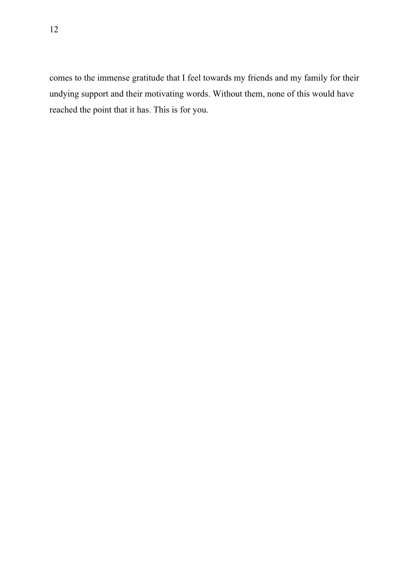comes to the immense gratitude that I feel towards my friends and my family for their undying support and their motivating words. Without them, none of this would have reached the point that it has. This is for you.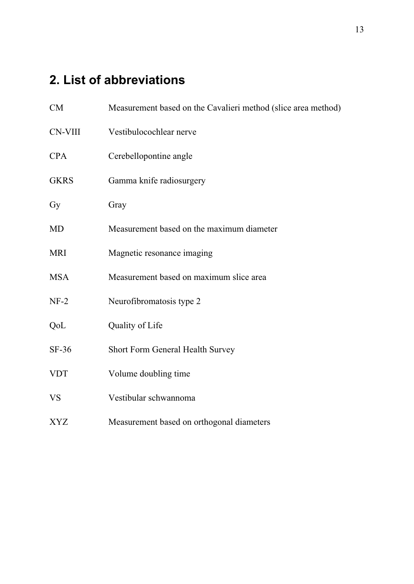## **2. List of abbreviations**

| CM             | Measurement based on the Cavalieri method (slice area method) |
|----------------|---------------------------------------------------------------|
| <b>CN-VIII</b> | Vestibulocochlear nerve                                       |
| <b>CPA</b>     | Cerebellopontine angle                                        |
| <b>GKRS</b>    | Gamma knife radiosurgery                                      |
| Gy             | Gray                                                          |
| MD             | Measurement based on the maximum diameter                     |
| <b>MRI</b>     | Magnetic resonance imaging                                    |
| <b>MSA</b>     | Measurement based on maximum slice area                       |
| $NF-2$         | Neurofibromatosis type 2                                      |
| QoL            | Quality of Life                                               |
| SF-36          | Short Form General Health Survey                              |
| <b>VDT</b>     | Volume doubling time                                          |
| <b>VS</b>      | Vestibular schwannoma                                         |
| <b>XYZ</b>     | Measurement based on orthogonal diameters                     |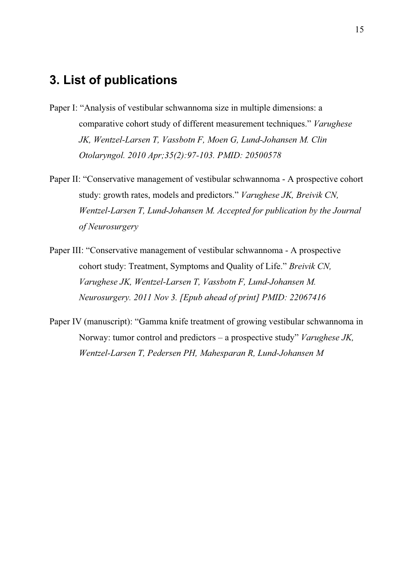## **3. List of publications**

- Paper I: "Analysis of vestibular schwannoma size in multiple dimensions: a comparative cohort study of different measurement techniques." *Varughese JK, Wentzel-Larsen T, Vassbotn F, Moen G, Lund-Johansen M. Clin Otolaryngol. 2010 Apr;35(2):97-103. PMID: 20500578*
- Paper II: "Conservative management of vestibular schwannoma A prospective cohort study: growth rates, models and predictors." *Varughese JK, Breivik CN, Wentzel-Larsen T, Lund-Johansen M. Accepted for publication by the Journal of Neurosurgery*
- Paper III: "Conservative management of vestibular schwannoma A prospective cohort study: Treatment, Symptoms and Quality of Life." *Breivik CN, Varughese JK, Wentzel-Larsen T, Vassbotn F, Lund-Johansen M. Neurosurgery. 2011 Nov 3. [Epub ahead of print] PMID: 22067416*
- Paper IV (manuscript): "Gamma knife treatment of growing vestibular schwannoma in Norway: tumor control and predictors – a prospective study" *Varughese JK, Wentzel-Larsen T, Pedersen PH, Mahesparan R, Lund-Johansen M*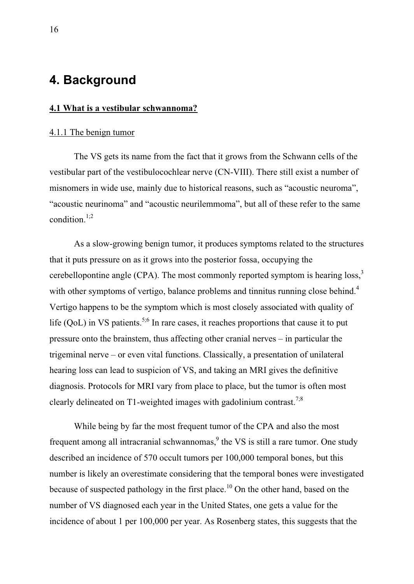## **4. Background**

#### **4.1 What is a vestibular schwannoma?**

#### 4.1.1 The benign tumor

The VS gets its name from the fact that it grows from the Schwann cells of the vestibular part of the vestibulocochlear nerve (CN-VIII). There still exist a number of misnomers in wide use, mainly due to historical reasons, such as "acoustic neuroma", "acoustic neurinoma" and "acoustic neurilemmoma", but all of these refer to the same condition. $1,2$ 

As a slow-growing benign tumor, it produces symptoms related to the structures that it puts pressure on as it grows into the posterior fossa, occupying the cerebellopontine angle (CPA). The most commonly reported symptom is hearing loss, $3$ with other symptoms of vertigo, balance problems and tinnitus running close behind.<sup>4</sup> Vertigo happens to be the symptom which is most closely associated with quality of life  $(OoL)$  in VS patients.<sup>5,6</sup> In rare cases, it reaches proportions that cause it to put pressure onto the brainstem, thus affecting other cranial nerves – in particular the trigeminal nerve – or even vital functions. Classically, a presentation of unilateral hearing loss can lead to suspicion of VS, and taking an MRI gives the definitive diagnosis. Protocols for MRI vary from place to place, but the tumor is often most clearly delineated on T1-weighted images with gadolinium contrast.<sup>7;8</sup>

While being by far the most frequent tumor of the CPA and also the most frequent among all intracranial schwannomas,<sup>9</sup> the VS is still a rare tumor. One study described an incidence of 570 occult tumors per 100,000 temporal bones, but this number is likely an overestimate considering that the temporal bones were investigated because of suspected pathology in the first place.10 On the other hand, based on the number of VS diagnosed each year in the United States, one gets a value for the incidence of about 1 per 100,000 per year. As Rosenberg states, this suggests that the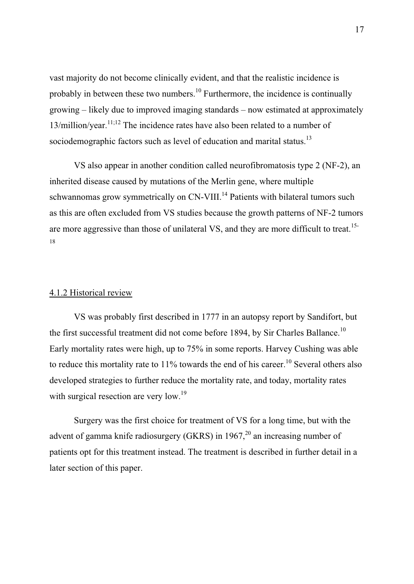vast majority do not become clinically evident, and that the realistic incidence is probably in between these two numbers.<sup>10</sup> Furthermore, the incidence is continually growing – likely due to improved imaging standards – now estimated at approximately  $13/\text{million/year}$ .<sup>11;12</sup> The incidence rates have also been related to a number of sociodemographic factors such as level of education and marital status.<sup>13</sup>

VS also appear in another condition called neurofibromatosis type 2 (NF-2), an inherited disease caused by mutations of the Merlin gene, where multiple schwannomas grow symmetrically on CN-VIII.<sup>14</sup> Patients with bilateral tumors such as this are often excluded from VS studies because the growth patterns of NF-2 tumors are more aggressive than those of unilateral VS, and they are more difficult to treat.<sup>15-</sup> 18

#### 4.1.2 Historical review

VS was probably first described in 1777 in an autopsy report by Sandifort, but the first successful treatment did not come before 1894, by Sir Charles Ballance.<sup>10</sup> Early mortality rates were high, up to 75% in some reports. Harvey Cushing was able to reduce this mortality rate to  $11\%$  towards the end of his career.<sup>10</sup> Several others also developed strategies to further reduce the mortality rate, and today, mortality rates with surgical resection are very low.<sup>19</sup>

Surgery was the first choice for treatment of VS for a long time, but with the advent of gamma knife radiosurgery (GKRS) in  $1967<sup>20</sup>$  an increasing number of patients opt for this treatment instead. The treatment is described in further detail in a later section of this paper.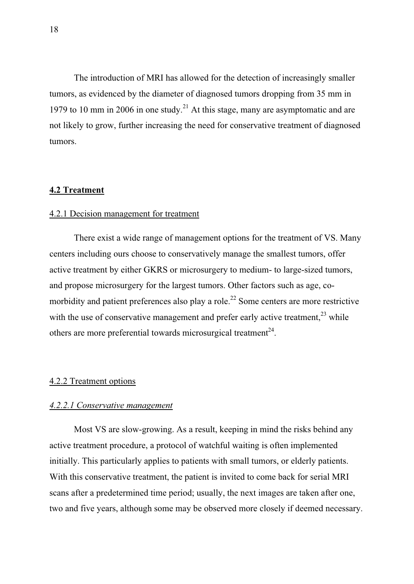The introduction of MRI has allowed for the detection of increasingly smaller tumors, as evidenced by the diameter of diagnosed tumors dropping from 35 mm in 1979 to 10 mm in 2006 in one study.<sup>21</sup> At this stage, many are asymptomatic and are not likely to grow, further increasing the need for conservative treatment of diagnosed tumors.

#### **4.2 Treatment**

#### 4.2.1 Decision management for treatment

There exist a wide range of management options for the treatment of VS. Many centers including ours choose to conservatively manage the smallest tumors, offer active treatment by either GKRS or microsurgery to medium- to large-sized tumors, and propose microsurgery for the largest tumors. Other factors such as age, comorbidity and patient preferences also play a role.<sup>22</sup> Some centers are more restrictive with the use of conservative management and prefer early active treatment,  $2<sup>3</sup>$  while others are more preferential towards microsurgical treatment<sup>24</sup>.

#### 4.2.2 Treatment options

#### *4.2.2.1 Conservative management*

Most VS are slow-growing. As a result, keeping in mind the risks behind any active treatment procedure, a protocol of watchful waiting is often implemented initially. This particularly applies to patients with small tumors, or elderly patients. With this conservative treatment, the patient is invited to come back for serial MRI scans after a predetermined time period; usually, the next images are taken after one, two and five years, although some may be observed more closely if deemed necessary.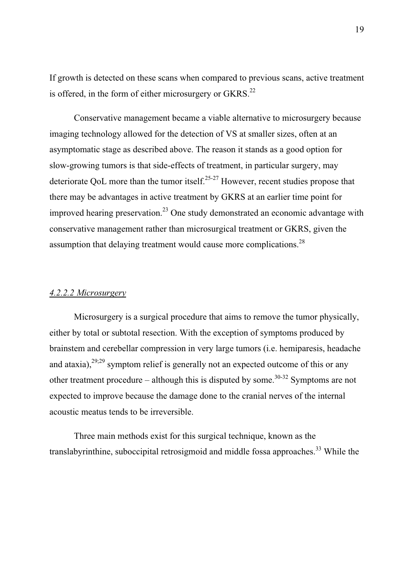If growth is detected on these scans when compared to previous scans, active treatment is offered, in the form of either microsurgery or  $GKRS$ <sup>22</sup>

Conservative management became a viable alternative to microsurgery because imaging technology allowed for the detection of VS at smaller sizes, often at an asymptomatic stage as described above. The reason it stands as a good option for slow-growing tumors is that side-effects of treatment, in particular surgery, may deteriorate QoL more than the tumor itself.<sup>25-27</sup> However, recent studies propose that there may be advantages in active treatment by GKRS at an earlier time point for improved hearing preservation.<sup>23</sup> One study demonstrated an economic advantage with conservative management rather than microsurgical treatment or GKRS, given the assumption that delaying treatment would cause more complications.<sup>28</sup>

#### *4.2.2.2 Microsurgery*

Microsurgery is a surgical procedure that aims to remove the tumor physically, either by total or subtotal resection. With the exception of symptoms produced by brainstem and cerebellar compression in very large tumors (i.e. hemiparesis, headache and ataxia),  $29,29$  symptom relief is generally not an expected outcome of this or any other treatment procedure – although this is disputed by some.<sup>30-32</sup> Symptoms are not expected to improve because the damage done to the cranial nerves of the internal acoustic meatus tends to be irreversible.

Three main methods exist for this surgical technique, known as the translabyrinthine, suboccipital retrosigmoid and middle fossa approaches.<sup>33</sup> While the

19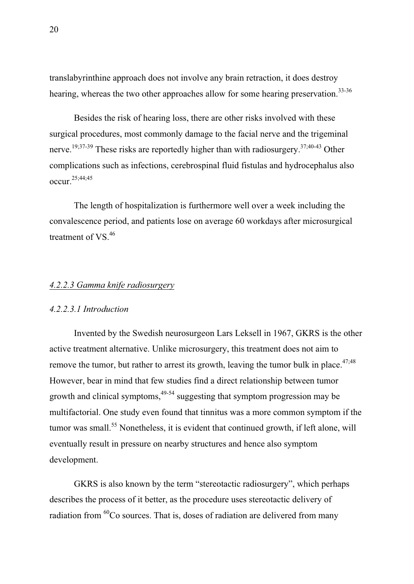translabyrinthine approach does not involve any brain retraction, it does destroy hearing, whereas the two other approaches allow for some hearing preservation.<sup>33-36</sup>

Besides the risk of hearing loss, there are other risks involved with these surgical procedures, most commonly damage to the facial nerve and the trigeminal nerve.<sup>19;37-39</sup> These risks are reportedly higher than with radiosurgery.<sup>37;40-43</sup> Other complications such as infections, cerebrospinal fluid fistulas and hydrocephalus also occur.25;44;45

The length of hospitalization is furthermore well over a week including the convalescence period, and patients lose on average 60 workdays after microsurgical treatment of VS $^{46}$ 

#### *4.2.2.3 Gamma knife radiosurgery*

#### *4.2.2.3.1 Introduction*

Invented by the Swedish neurosurgeon Lars Leksell in 1967, GKRS is the other active treatment alternative. Unlike microsurgery, this treatment does not aim to remove the tumor, but rather to arrest its growth, leaving the tumor bulk in place. $47,48$ However, bear in mind that few studies find a direct relationship between tumor growth and clinical symptoms,<sup>49-54</sup> suggesting that symptom progression may be multifactorial. One study even found that tinnitus was a more common symptom if the tumor was small.<sup>55</sup> Nonetheless, it is evident that continued growth, if left alone, will eventually result in pressure on nearby structures and hence also symptom development.

GKRS is also known by the term "stereotactic radiosurgery", which perhaps describes the process of it better, as the procedure uses stereotactic delivery of radiation from  ${}^{60}Co$  sources. That is, doses of radiation are delivered from many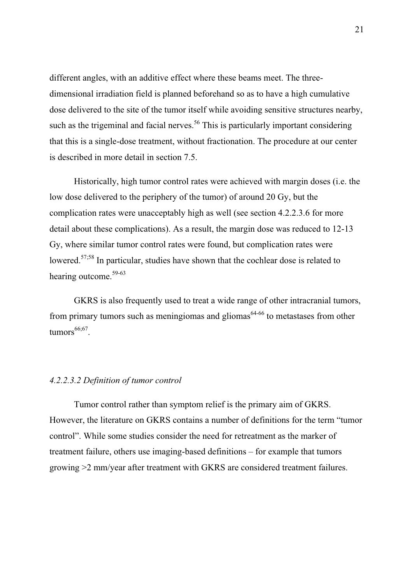different angles, with an additive effect where these beams meet. The threedimensional irradiation field is planned beforehand so as to have a high cumulative dose delivered to the site of the tumor itself while avoiding sensitive structures nearby, such as the trigeminal and facial nerves.<sup>56</sup> This is particularly important considering that this is a single-dose treatment, without fractionation. The procedure at our center is described in more detail in section 7.5.

Historically, high tumor control rates were achieved with margin doses (i.e. the low dose delivered to the periphery of the tumor) of around 20 Gy, but the complication rates were unacceptably high as well (see section 4.2.2.3.6 for more detail about these complications). As a result, the margin dose was reduced to 12-13 Gy, where similar tumor control rates were found, but complication rates were lowered.<sup>57;58</sup> In particular, studies have shown that the cochlear dose is related to hearing outcome.<sup>59-63</sup>

GKRS is also frequently used to treat a wide range of other intracranial tumors, from primary tumors such as meningiomas and gliomas<sup> $64-66$ </sup> to metastases from other  $tumors<sup>66;67</sup>$ .

#### *4.2.2.3.2 Definition of tumor control*

Tumor control rather than symptom relief is the primary aim of GKRS. However, the literature on GKRS contains a number of definitions for the term "tumor control". While some studies consider the need for retreatment as the marker of treatment failure, others use imaging-based definitions – for example that tumors growing >2 mm/year after treatment with GKRS are considered treatment failures.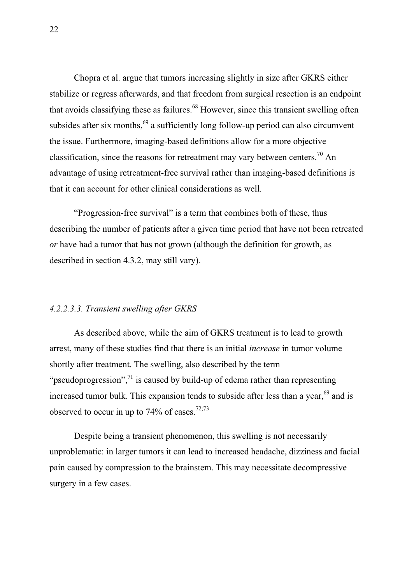Chopra et al. argue that tumors increasing slightly in size after GKRS either stabilize or regress afterwards, and that freedom from surgical resection is an endpoint that avoids classifying these as failures.<sup>68</sup> However, since this transient swelling often subsides after six months, $69$  a sufficiently long follow-up period can also circumvent the issue. Furthermore, imaging-based definitions allow for a more objective classification, since the reasons for retreatment may vary between centers.<sup>70</sup> An advantage of using retreatment-free survival rather than imaging-based definitions is that it can account for other clinical considerations as well.

"Progression-free survival" is a term that combines both of these, thus describing the number of patients after a given time period that have not been retreated *or* have had a tumor that has not grown (although the definition for growth, as described in section 4.3.2, may still vary).

#### *4.2.2.3.3. Transient swelling after GKRS*

As described above, while the aim of GKRS treatment is to lead to growth arrest, many of these studies find that there is an initial *increase* in tumor volume shortly after treatment. The swelling, also described by the term "pseudoprogression", $^{71}$  is caused by build-up of edema rather than representing increased tumor bulk. This expansion tends to subside after less than a year, $69$  and is observed to occur in up to 74% of cases.<sup>72;73</sup>

Despite being a transient phenomenon, this swelling is not necessarily unproblematic: in larger tumors it can lead to increased headache, dizziness and facial pain caused by compression to the brainstem. This may necessitate decompressive surgery in a few cases.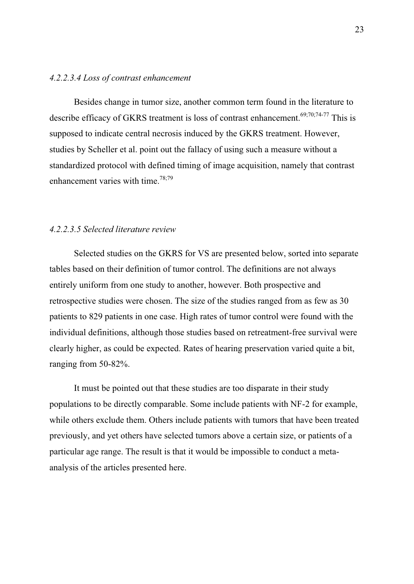#### *4.2.2.3.4 Loss of contrast enhancement*

Besides change in tumor size, another common term found in the literature to describe efficacy of GKRS treatment is loss of contrast enhancement.<sup>69;70;74-77</sup> This is supposed to indicate central necrosis induced by the GKRS treatment. However, studies by Scheller et al. point out the fallacy of using such a measure without a standardized protocol with defined timing of image acquisition, namely that contrast enhancement varies with time.<sup>78;79</sup>

#### *4.2.2.3.5 Selected literature review*

Selected studies on the GKRS for VS are presented below, sorted into separate tables based on their definition of tumor control. The definitions are not always entirely uniform from one study to another, however. Both prospective and retrospective studies were chosen. The size of the studies ranged from as few as 30 patients to 829 patients in one case. High rates of tumor control were found with the individual definitions, although those studies based on retreatment-free survival were clearly higher, as could be expected. Rates of hearing preservation varied quite a bit, ranging from 50-82%.

It must be pointed out that these studies are too disparate in their study populations to be directly comparable. Some include patients with NF-2 for example, while others exclude them. Others include patients with tumors that have been treated previously, and yet others have selected tumors above a certain size, or patients of a particular age range. The result is that it would be impossible to conduct a metaanalysis of the articles presented here.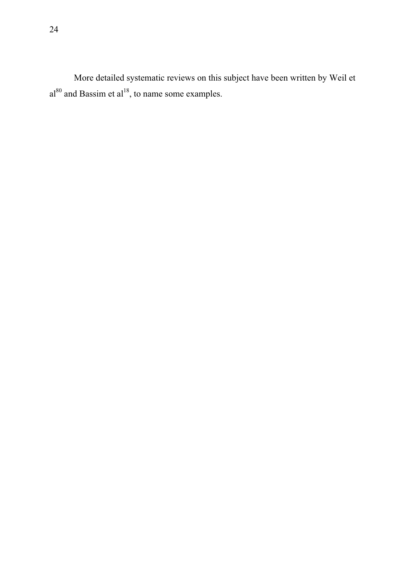More detailed systematic reviews on this subject have been written by Weil et  $al^{80}$  and Bassim et  $al^{18}$ , to name some examples.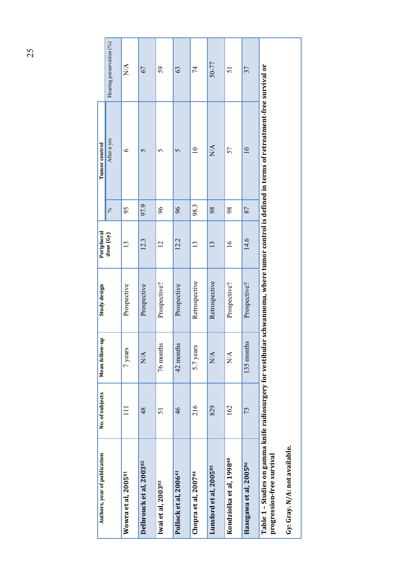| Authors, year of publication                                                                                                                                                  | of subjects<br>ż. | Mean follow-up                  | Study design  | Peripheral<br>dose (Gy) |      | Tumor control   |                          |  |
|-------------------------------------------------------------------------------------------------------------------------------------------------------------------------------|-------------------|---------------------------------|---------------|-------------------------|------|-----------------|--------------------------|--|
|                                                                                                                                                                               |                   |                                 |               |                         | $\%$ | After n yrs     | Hearing preservation (%) |  |
| Wowra et al, 2005 <sup>81</sup>                                                                                                                                               | Ξ                 | 7 years                         | Prospective   | $\overline{13}$         | 95   | $\circ$         | $N\!$                    |  |
| Delbrouck et al, 2003 <sup>82</sup>                                                                                                                                           | 48                | N/A                             | Prospective   | 12.3                    | 97.9 | 5               | 67                       |  |
| Iwai et al, 2003 <sup>83</sup>                                                                                                                                                | 51                | 76 months                       | Prospective?  | $\overline{c}$          | 96   | 5               | 59                       |  |
| Pollock et al, 2006 <sup>41</sup>                                                                                                                                             | 46                | 42 months                       | Prospective   | 12.2                    | 96   | 5               | 63                       |  |
| Chopra et al, 2007 <sup>84</sup>                                                                                                                                              | 216               | 5.7 years                       | Retrospective | $\mathbf{13}$           | 98.3 | $\overline{10}$ | 74                       |  |
| Lunsford et al, 2005 <sup>85</sup>                                                                                                                                            | 829               | ${\rm N/A}$                     | Retrospective | $\overline{13}$         | 98   | N/A             | 50-77                    |  |
| Kondziolka et al, 1998 <sup>48</sup>                                                                                                                                          | 162               | $\mathop{\rm NA}\limits^\Delta$ | Prospective?  | $\frac{6}{1}$           | 98   | 5?              | 51                       |  |
| Hasegawa et al, 2005 <sup>86</sup>                                                                                                                                            | 73                | 135 months                      | Prospective?  | 14.6                    | 87   | 10              | 37                       |  |
| Table 1 – Studies on gamma knife radiosurgery for vestibular schwannoma, where tumor control is defined in terms of retreatment-free survival or<br>progression-free survival |                   |                                 |               |                         |      |                 |                          |  |
| Gy: Gray. N/A: not available.                                                                                                                                                 |                   |                                 |               |                         |      |                 |                          |  |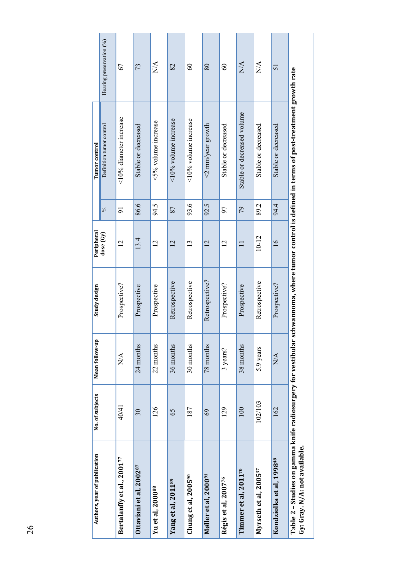| Authors, year of publication           | No. of subjects | Mean follow-up               | Study design   | Peripheral     |                | Tumor control                                                                                                                                  |                                 |
|----------------------------------------|-----------------|------------------------------|----------------|----------------|----------------|------------------------------------------------------------------------------------------------------------------------------------------------|---------------------------------|
|                                        |                 |                              |                | dose (Gy)      | $\%$           | Definition tumor control                                                                                                                       | Hearing preservation (%)        |
| Bertalanffy et al., 2001 <sup>77</sup> | 40/41           | $\stackrel{\triangle}{\geq}$ | Prospective?   | $\overline{2}$ | $\overline{5}$ | <10% diameter increase                                                                                                                         | 67                              |
| Ottaviani et al, 2002 <sup>87</sup>    | 30              | 24 months                    | Prospective    | 13.4           | 86.6           | Stable or decreased                                                                                                                            | 73                              |
| Yu et al, 2000 <sup>88</sup>           | 26              | 22 months                    | Prospective    | $\overline{2}$ | 94.5           | <5% volume increase                                                                                                                            | $\sum_{i=1}^{n}$                |
| Yang et al, 201189                     | 65              | 36 months                    | Retrospective  | 12             | 87             | <10% volume increase                                                                                                                           | 82                              |
| Chung et al, 2005 <sup>90</sup>        | 87              | 30 months                    | Retrospective  | $\mathbf{13}$  | 93.6           | <10% volume increase                                                                                                                           | $\overline{60}$                 |
| Møller et al, 2000 <sup>91</sup>       | 69              | 78 months                    | Retrospective? | 12             | 92.5           | <2 mm/year growth                                                                                                                              | 80                              |
| Régis et al, 2007 <sup>76</sup>        | 29              | 3 years?                     | Prospective?   | $\overline{2}$ | 97             | Stable or decreased                                                                                                                            | $\overline{60}$                 |
| Timmer et al, 201170                   | 100             | 38 months                    | Prospective    | $\Box$         | 79             | Stable or decreased volume                                                                                                                     | $\frac{\mathbf{A}}{\mathbf{A}}$ |
| Myrseth et al, 2005 <sup>37</sup>      | 102/103         | 5.9 years                    | Retrospective  | $10 - 12$      | 89.2           | Stable or decreased                                                                                                                            | $\mathbb{N} \mathbb{A}$         |
| Kondziolka et al, 1998 <sup>48</sup>   | 162             | <b>N/A</b>                   | Prospective?   | 16             | 94.4           | Stable or decreased                                                                                                                            | 51                              |
| Gy: Gray. N/A: not available.          |                 |                              |                |                |                | Table 2 - Studies on gamma knife radiosurgery for vestibular schwannoma, where tumor control is defined in terms of post-treatment growth rate |                                 |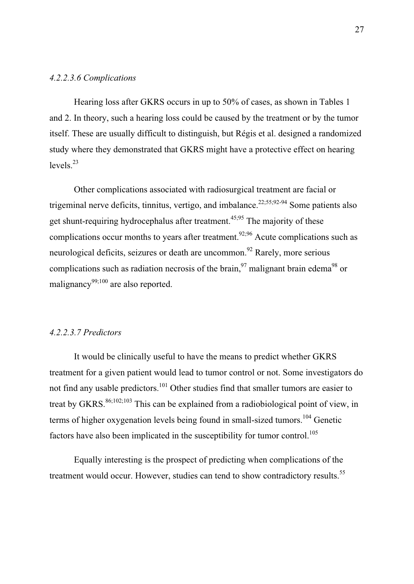#### *4.2.2.3.6 Complications*

Hearing loss after GKRS occurs in up to 50% of cases, as shown in Tables 1 and 2. In theory, such a hearing loss could be caused by the treatment or by the tumor itself. These are usually difficult to distinguish, but Régis et al. designed a randomized study where they demonstrated that GKRS might have a protective effect on hearing levels $23$ 

Other complications associated with radiosurgical treatment are facial or trigeminal nerve deficits, tinnitus, vertigo, and imbalance.<sup>22;55;92-94</sup> Some patients also get shunt-requiring hydrocephalus after treatment.<sup>45;95</sup> The majority of these complications occur months to years after treatment.<sup>92;96</sup> Acute complications such as neurological deficits, seizures or death are uncommon.<sup>92</sup> Rarely, more serious complications such as radiation necrosis of the brain,  $97$  malignant brain edema<sup>98</sup> or malignancy<sup>99;100</sup> are also reported.

#### *4.2.2.3.7 Predictors*

It would be clinically useful to have the means to predict whether GKRS treatment for a given patient would lead to tumor control or not. Some investigators do not find any usable predictors.<sup>101</sup> Other studies find that smaller tumors are easier to treat by GKRS. $86;102;103$  This can be explained from a radiobiological point of view, in terms of higher oxygenation levels being found in small-sized tumors.<sup>104</sup> Genetic factors have also been implicated in the susceptibility for tumor control.<sup>105</sup>

Equally interesting is the prospect of predicting when complications of the treatment would occur. However, studies can tend to show contradictory results.<sup>55</sup>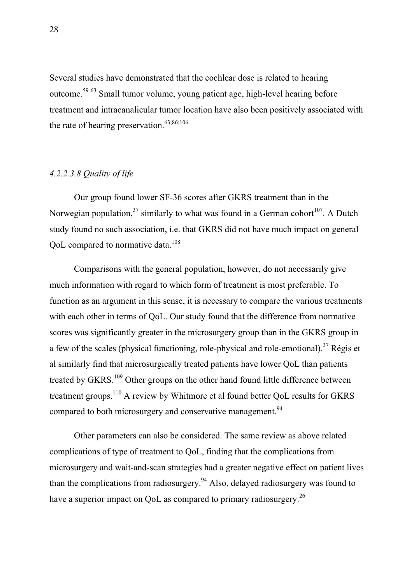Several studies have demonstrated that the cochlear dose is related to hearing outcome.59-63 Small tumor volume, young patient age, high-level hearing before treatment and intracanalicular tumor location have also been positively associated with the rate of hearing preservation. $63;86;106$ 

#### *4.2.2.3.8 Quality of life*

Our group found lower SF-36 scores after GKRS treatment than in the Norwegian population,<sup>37</sup> similarly to what was found in a German cohort<sup>107</sup>. A Dutch study found no such association, i.e. that GKRS did not have much impact on general QoL compared to normative data.<sup>108</sup>

Comparisons with the general population, however, do not necessarily give much information with regard to which form of treatment is most preferable. To function as an argument in this sense, it is necessary to compare the various treatments with each other in terms of QoL. Our study found that the difference from normative scores was significantly greater in the microsurgery group than in the GKRS group in a few of the scales (physical functioning, role-physical and role-emotional).<sup>37</sup> Régis et al similarly find that microsurgically treated patients have lower QoL than patients treated by GKRS.<sup>109</sup> Other groups on the other hand found little difference between treatment groups.110 A review by Whitmore et al found better QoL results for GKRS compared to both microsurgery and conservative management.<sup>94</sup>

Other parameters can also be considered. The same review as above related complications of type of treatment to QoL, finding that the complications from microsurgery and wait-and-scan strategies had a greater negative effect on patient lives than the complications from radiosurgery.<sup>94</sup> Also, delayed radiosurgery was found to have a superior impact on QoL as compared to primary radiosurgery.<sup>26</sup>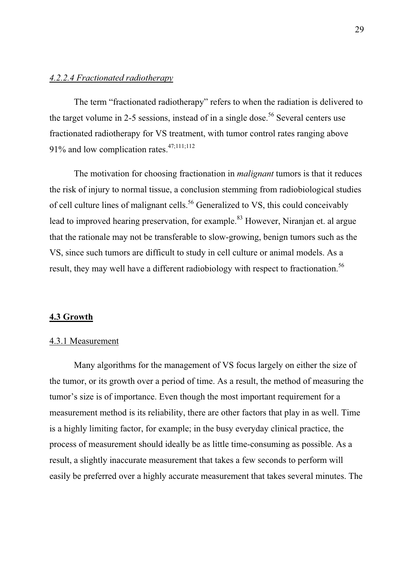#### *4.2.2.4 Fractionated radiotherapy*

The term "fractionated radiotherapy" refers to when the radiation is delivered to the target volume in 2-5 sessions, instead of in a single dose.<sup>56</sup> Several centers use fractionated radiotherapy for VS treatment, with tumor control rates ranging above 91% and low complication rates. $47;111;112$ 

The motivation for choosing fractionation in *malignant* tumors is that it reduces the risk of injury to normal tissue, a conclusion stemming from radiobiological studies of cell culture lines of malignant cells.<sup>56</sup> Generalized to VS, this could conceivably lead to improved hearing preservation, for example.<sup>83</sup> However, Niranjan et. al argue that the rationale may not be transferable to slow-growing, benign tumors such as the VS, since such tumors are difficult to study in cell culture or animal models. As a result, they may well have a different radiobiology with respect to fractionation.<sup>56</sup>

#### **4.3 Growth**

#### 4.3.1 Measurement

Many algorithms for the management of VS focus largely on either the size of the tumor, or its growth over a period of time. As a result, the method of measuring the tumor's size is of importance. Even though the most important requirement for a measurement method is its reliability, there are other factors that play in as well. Time is a highly limiting factor, for example; in the busy everyday clinical practice, the process of measurement should ideally be as little time-consuming as possible. As a result, a slightly inaccurate measurement that takes a few seconds to perform will easily be preferred over a highly accurate measurement that takes several minutes. The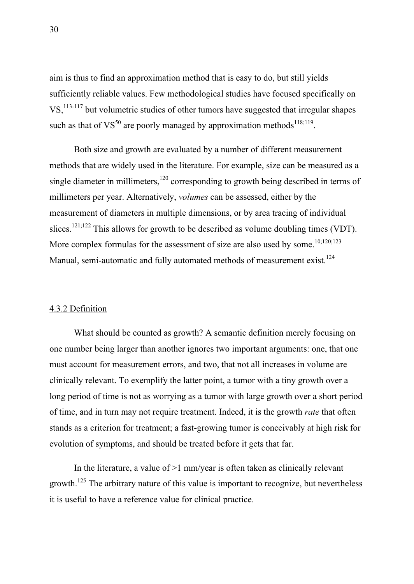aim is thus to find an approximation method that is easy to do, but still yields sufficiently reliable values. Few methodological studies have focused specifically on VS,<sup>113-117</sup> but volumetric studies of other tumors have suggested that irregular shapes such as that of  $VS^{50}$  are poorly managed by approximation methods<sup>118;119</sup>.

Both size and growth are evaluated by a number of different measurement methods that are widely used in the literature. For example, size can be measured as a single diameter in millimeters, $120$  corresponding to growth being described in terms of millimeters per year. Alternatively, *volumes* can be assessed, either by the measurement of diameters in multiple dimensions, or by area tracing of individual slices.<sup>121;122</sup> This allows for growth to be described as volume doubling times (VDT). More complex formulas for the assessment of size are also used by some.<sup>10;120;123</sup> Manual, semi-automatic and fully automated methods of measurement exist.<sup>124</sup>

#### 4.3.2 Definition

What should be counted as growth? A semantic definition merely focusing on one number being larger than another ignores two important arguments: one, that one must account for measurement errors, and two, that not all increases in volume are clinically relevant. To exemplify the latter point, a tumor with a tiny growth over a long period of time is not as worrying as a tumor with large growth over a short period of time, and in turn may not require treatment. Indeed, it is the growth *rate* that often stands as a criterion for treatment; a fast-growing tumor is conceivably at high risk for evolution of symptoms, and should be treated before it gets that far.

In the literature, a value of  $>1$  mm/year is often taken as clinically relevant growth.<sup>125</sup> The arbitrary nature of this value is important to recognize, but nevertheless it is useful to have a reference value for clinical practice.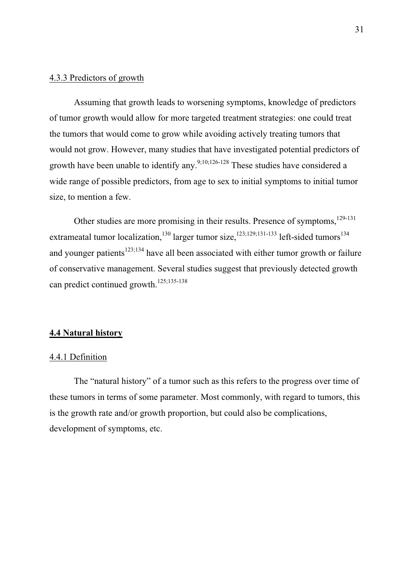#### 4.3.3 Predictors of growth

Assuming that growth leads to worsening symptoms, knowledge of predictors of tumor growth would allow for more targeted treatment strategies: one could treat the tumors that would come to grow while avoiding actively treating tumors that would not grow. However, many studies that have investigated potential predictors of growth have been unable to identify any.<sup>9;10;126-128</sup> These studies have considered a wide range of possible predictors, from age to sex to initial symptoms to initial tumor size, to mention a few.

Other studies are more promising in their results. Presence of symptoms,<sup>129-131</sup> extrameatal tumor localization,<sup>130</sup> larger tumor size,<sup>123;129;131-133</sup> left-sided tumors<sup>134</sup> and younger patients<sup>123;134</sup> have all been associated with either tumor growth or failure of conservative management. Several studies suggest that previously detected growth can predict continued growth.<sup>125;135-138</sup>

#### **4.4 Natural history**

#### 4.4.1 Definition

The "natural history" of a tumor such as this refers to the progress over time of these tumors in terms of some parameter. Most commonly, with regard to tumors, this is the growth rate and/or growth proportion, but could also be complications, development of symptoms, etc.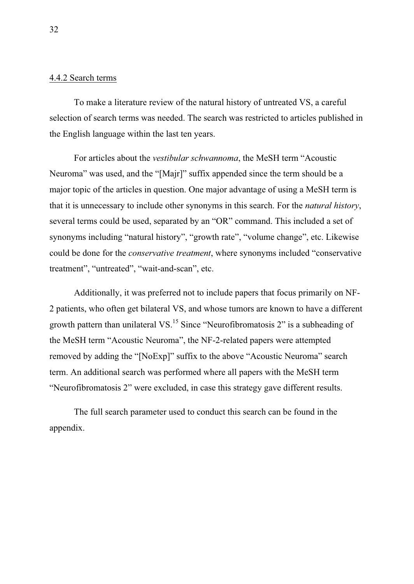#### 4.4.2 Search terms

To make a literature review of the natural history of untreated VS, a careful selection of search terms was needed. The search was restricted to articles published in the English language within the last ten years.

For articles about the *vestibular schwannoma*, the MeSH term "Acoustic Neuroma" was used, and the "[Majr]" suffix appended since the term should be a major topic of the articles in question. One major advantage of using a MeSH term is that it is unnecessary to include other synonyms in this search. For the *natural history*, several terms could be used, separated by an "OR" command. This included a set of synonyms including "natural history", "growth rate", "volume change", etc. Likewise could be done for the *conservative treatment*, where synonyms included "conservative treatment", "untreated", "wait-and-scan", etc.

Additionally, it was preferred not to include papers that focus primarily on NF-2 patients, who often get bilateral VS, and whose tumors are known to have a different growth pattern than unilateral VS.<sup>15</sup> Since "Neurofibromatosis 2" is a subheading of the MeSH term "Acoustic Neuroma", the NF-2-related papers were attempted removed by adding the "[NoExp]" suffix to the above "Acoustic Neuroma" search term. An additional search was performed where all papers with the MeSH term "Neurofibromatosis 2" were excluded, in case this strategy gave different results.

The full search parameter used to conduct this search can be found in the appendix.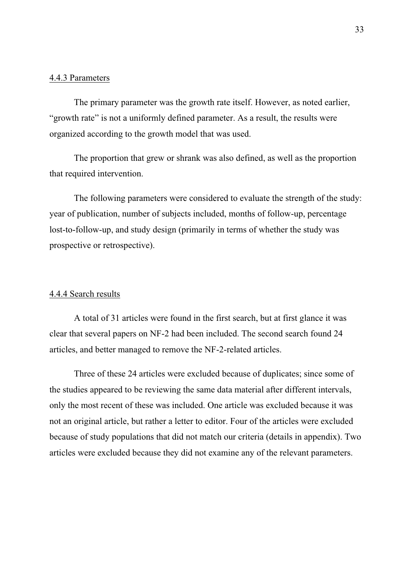#### 4.4.3 Parameters

The primary parameter was the growth rate itself. However, as noted earlier, "growth rate" is not a uniformly defined parameter. As a result, the results were organized according to the growth model that was used.

The proportion that grew or shrank was also defined, as well as the proportion that required intervention.

The following parameters were considered to evaluate the strength of the study: year of publication, number of subjects included, months of follow-up, percentage lost-to-follow-up, and study design (primarily in terms of whether the study was prospective or retrospective).

#### 4.4.4 Search results

A total of 31 articles were found in the first search, but at first glance it was clear that several papers on NF-2 had been included. The second search found 24 articles, and better managed to remove the NF-2-related articles.

Three of these 24 articles were excluded because of duplicates; since some of the studies appeared to be reviewing the same data material after different intervals, only the most recent of these was included. One article was excluded because it was not an original article, but rather a letter to editor. Four of the articles were excluded because of study populations that did not match our criteria (details in appendix). Two articles were excluded because they did not examine any of the relevant parameters.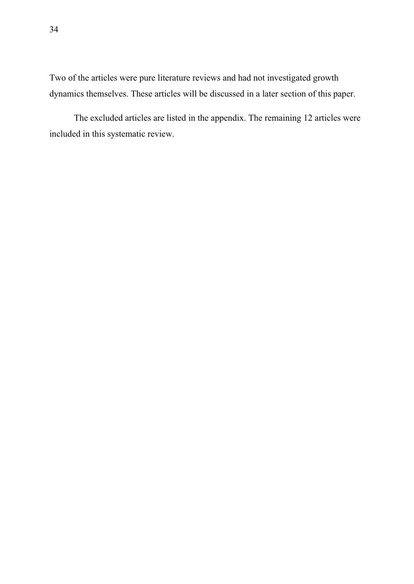Two of the articles were pure literature reviews and had not investigated growth dynamics themselves. These articles will be discussed in a later section of this paper.

The excluded articles are listed in the appendix. The remaining 12 articles were included in this systematic review.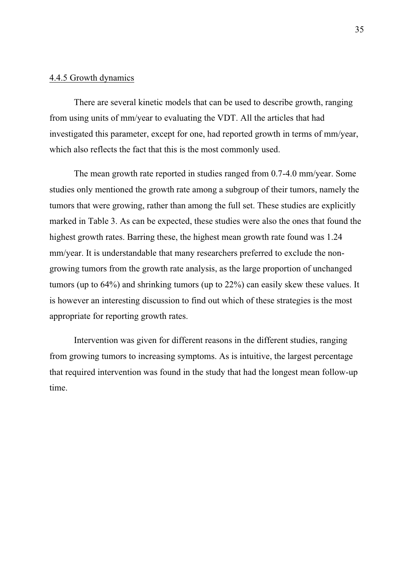#### 4.4.5 Growth dynamics

There are several kinetic models that can be used to describe growth, ranging from using units of mm/year to evaluating the VDT. All the articles that had investigated this parameter, except for one, had reported growth in terms of mm/year, which also reflects the fact that this is the most commonly used.

The mean growth rate reported in studies ranged from 0.7-4.0 mm/year. Some studies only mentioned the growth rate among a subgroup of their tumors, namely the tumors that were growing, rather than among the full set. These studies are explicitly marked in Table 3. As can be expected, these studies were also the ones that found the highest growth rates. Barring these, the highest mean growth rate found was 1.24 mm/year. It is understandable that many researchers preferred to exclude the nongrowing tumors from the growth rate analysis, as the large proportion of unchanged tumors (up to 64%) and shrinking tumors (up to 22%) can easily skew these values. It is however an interesting discussion to find out which of these strategies is the most appropriate for reporting growth rates.

Intervention was given for different reasons in the different studies, ranging from growing tumors to increasing symptoms. As is intuitive, the largest percentage that required intervention was found in the study that had the longest mean follow-up time.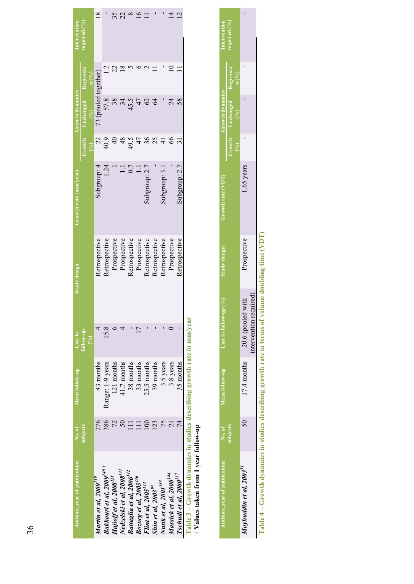| Authors, year of publication                                                  | No. of   | Mean follow-up   | Lost to           | Study design  | Growth rate (mm/vear) |                          | Growth dynamics             |                                             | Intervention   |
|-------------------------------------------------------------------------------|----------|------------------|-------------------|---------------|-----------------------|--------------------------|-----------------------------|---------------------------------------------|----------------|
|                                                                               | subjects |                  | qu-wollo<br>(9/6) |               |                       | Growth<br>$\binom{9}{6}$ | Unchanged<br>$\binom{6}{0}$ | Regressio<br>$\blacksquare$ $\mathcal{O}_0$ | equired $(°0)$ |
| Martin et al, 2009 <sup>139</sup>                                             | 276      | 43 months        |                   | Retrospective | Subgroup: 4           |                          | 73 (pooled together)        |                                             |                |
| Bakkouri et al, 2009 <sup>140</sup>                                           | 386      | Range: 1-9 years |                   | Retrospective |                       | 40.9                     | 57.8                        |                                             |                |
| Hajioff et al, $2008^{128}$                                                   |          | 121 months       |                   | Prospective   |                       |                          |                             |                                             |                |
| Nedzelski et al, 2008 <sup>141</sup>                                          |          | $41.7$ months    |                   | Prospective   |                       |                          |                             |                                             |                |
| Battaglia et al, 2006 <sup>142</sup>                                          |          | 38 months        |                   | Retrospective |                       | 49.5                     |                             |                                             |                |
| Bozorg et al, 2005 <sup>136</sup>                                             |          | 33 months        |                   | Prospective   |                       |                          |                             |                                             |                |
| Flint et al, 2005 <sup>143</sup>                                              |          | 25.5 months      |                   | Retrospective | subgroup: 2.7         |                          |                             |                                             |                |
| Shin et al, 2003 <sup>93</sup>                                                |          | 39 months        |                   | Retrospective |                       |                          |                             |                                             |                |
| Nutik et al, 2001 <sup>133</sup>                                              | 75       | 3.5 years        |                   | Retrospective | subgroup: 3.1         |                          |                             |                                             |                |
| Massick et al, 2000 <sup>144</sup>                                            |          | 3.8 years        |                   | Prospective   |                       |                          |                             |                                             |                |
| Tschudi et al, 2000 <sup>137</sup>                                            |          | 35 months        |                   | Retrospective | Subgroup: 2.7         |                          |                             |                                             |                |
| Toble 2 Character durant charge door directive work to be heart of the column |          |                  |                   |               |                       |                          |                             |                                             |                |

**Table 3 – Growth dynamics in studies describing growth rate in mm/year**  mmyear THE 31121 ś n Ra

**Lable 3 – Growth dynamics in studies**<br>† **Values taken from 1 year follow-up Values taken from 1 year follow-up**

| Authors, year of publication,       | ັດ<br>2  | din-woll<br>Mean fol | Lost to follow-up $(90)$                                                                 | Study design | Growth rate (VDT) |                | Growth dynamics            |                    | Intervention |
|-------------------------------------|----------|----------------------|------------------------------------------------------------------------------------------|--------------|-------------------|----------------|----------------------------|--------------------|--------------|
|                                     | subjects |                      |                                                                                          |              |                   | $\binom{0}{0}$ | Growth Unchanged<br>$($ %) | Regressio<br>n (%) | Tequired (%) |
| Moyhuddin et al, 2003 <sup>51</sup> | 50       |                      | $7.4$ months $20.6$ (pooled with                                                         | rospective   | 1.65 years        |                |                            | Ï                  |              |
|                                     |          |                      | intervention required)                                                                   |              |                   |                |                            |                    |              |
| $\frac{1}{4}$<br>Nahle∡             |          |                      | Growth dynamics in studies describing growth rate in terms of volume doubling time (VDT) |              |                   |                |                            |                    |              |

**Table 4 – Growth dynamics in studies describing growth rate in terms of volume doubling time (VDT)**  $\left($  Than  $\right)$ a 138 Ì 5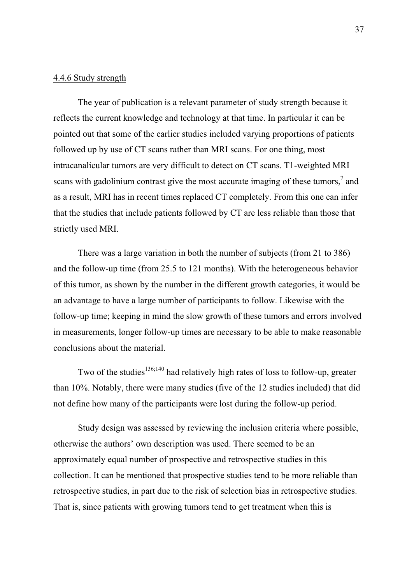#### 4.4.6 Study strength

The year of publication is a relevant parameter of study strength because it reflects the current knowledge and technology at that time. In particular it can be pointed out that some of the earlier studies included varying proportions of patients followed up by use of CT scans rather than MRI scans. For one thing, most intracanalicular tumors are very difficult to detect on CT scans. T1-weighted MRI scans with gadolinium contrast give the most accurate imaging of these tumors, $7$  and as a result, MRI has in recent times replaced CT completely. From this one can infer that the studies that include patients followed by CT are less reliable than those that strictly used MRI.

There was a large variation in both the number of subjects (from 21 to 386) and the follow-up time (from 25.5 to 121 months). With the heterogeneous behavior of this tumor, as shown by the number in the different growth categories, it would be an advantage to have a large number of participants to follow. Likewise with the follow-up time; keeping in mind the slow growth of these tumors and errors involved in measurements, longer follow-up times are necessary to be able to make reasonable conclusions about the material.

Two of the studies<sup>136;140</sup> had relatively high rates of loss to follow-up, greater than 10%. Notably, there were many studies (five of the 12 studies included) that did not define how many of the participants were lost during the follow-up period.

Study design was assessed by reviewing the inclusion criteria where possible, otherwise the authors' own description was used. There seemed to be an approximately equal number of prospective and retrospective studies in this collection. It can be mentioned that prospective studies tend to be more reliable than retrospective studies, in part due to the risk of selection bias in retrospective studies. That is, since patients with growing tumors tend to get treatment when this is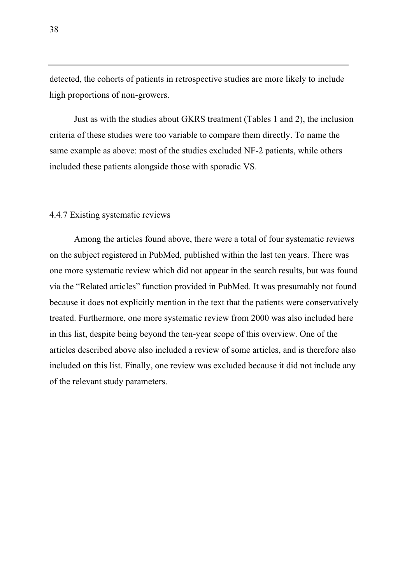detected, the cohorts of patients in retrospective studies are more likely to include high proportions of non-growers.

Just as with the studies about GKRS treatment (Tables 1 and 2), the inclusion criteria of these studies were too variable to compare them directly. To name the same example as above: most of the studies excluded NF-2 patients, while others included these patients alongside those with sporadic VS.

#### 4.4.7 Existing systematic reviews

Among the articles found above, there were a total of four systematic reviews on the subject registered in PubMed, published within the last ten years. There was one more systematic review which did not appear in the search results, but was found via the "Related articles" function provided in PubMed. It was presumably not found because it does not explicitly mention in the text that the patients were conservatively treated. Furthermore, one more systematic review from 2000 was also included here in this list, despite being beyond the ten-year scope of this overview. One of the articles described above also included a review of some articles, and is therefore also included on this list. Finally, one review was excluded because it did not include any of the relevant study parameters.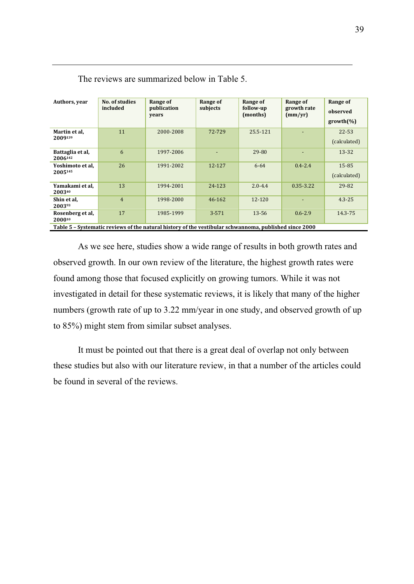| Authors, year                                                                                          | No. of studies<br>included | Range of<br>publication<br>vears | Range of<br>subjects | Range of<br>follow-up<br>(months) | Range of<br>growth rate<br>(mm/yr) | Range of<br>observed<br>$growth$ (%) |
|--------------------------------------------------------------------------------------------------------|----------------------------|----------------------------------|----------------------|-----------------------------------|------------------------------------|--------------------------------------|
| Martin et al.<br>2009139                                                                               | 11                         | 2000-2008                        | 72-729               | 25.5-121                          |                                    | $22 - 53$<br>(calculated)            |
| Battaglia et al,<br>2006142                                                                            | 6                          | 1997-2006                        | ٠                    | 29-80                             |                                    | 13-32                                |
| Yoshimoto et al.<br>2005145                                                                            | 26                         | 1991-2002                        | 12-127               | $6 - 64$                          | $0.4 - 2.4$                        | 15-85<br>(calculated)                |
| Yamakami et al,<br>200340                                                                              | 13                         | 1994-2001                        | 24-123               | $2.0 - 4.4$                       | 0.35-3.22                          | 29-82                                |
| Shin et al.<br>200393                                                                                  | $\overline{4}$             | 1998-2000                        | $46 - 162$           | $12 - 120$                        |                                    | $4.3 - 25$                           |
| Rosenberg et al,<br>200010                                                                             | 17                         | 1985-1999                        | $3 - 571$            | 13-56                             | $0.6 - 2.9$                        | 14.3-75                              |
| Table 5 - Systematic reviews of the natural history of the vestibular schwannoma, published since 2000 |                            |                                  |                      |                                   |                                    |                                      |

The reviews are summarized below in Table 5.

As we see here, studies show a wide range of results in both growth rates and observed growth. In our own review of the literature, the highest growth rates were found among those that focused explicitly on growing tumors. While it was not investigated in detail for these systematic reviews, it is likely that many of the higher numbers (growth rate of up to 3.22 mm/year in one study, and observed growth of up to 85%) might stem from similar subset analyses.

It must be pointed out that there is a great deal of overlap not only between these studies but also with our literature review, in that a number of the articles could be found in several of the reviews.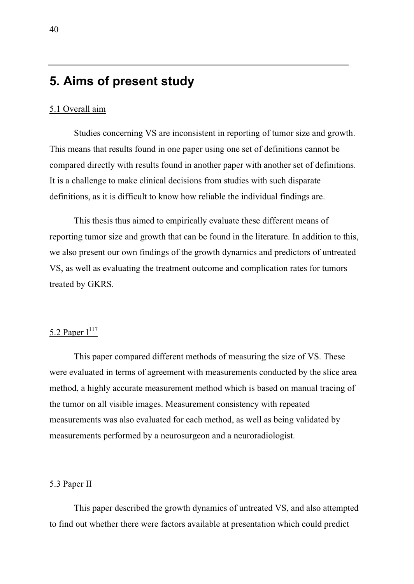## **5. Aims of present study**

#### 5.1 Overall aim

Studies concerning VS are inconsistent in reporting of tumor size and growth. This means that results found in one paper using one set of definitions cannot be compared directly with results found in another paper with another set of definitions. It is a challenge to make clinical decisions from studies with such disparate definitions, as it is difficult to know how reliable the individual findings are.

This thesis thus aimed to empirically evaluate these different means of reporting tumor size and growth that can be found in the literature. In addition to this, we also present our own findings of the growth dynamics and predictors of untreated VS, as well as evaluating the treatment outcome and complication rates for tumors treated by GKRS.

## 5.2 Paper  $I^{117}$

This paper compared different methods of measuring the size of VS. These were evaluated in terms of agreement with measurements conducted by the slice area method, a highly accurate measurement method which is based on manual tracing of the tumor on all visible images. Measurement consistency with repeated measurements was also evaluated for each method, as well as being validated by measurements performed by a neurosurgeon and a neuroradiologist.

#### 5.3 Paper II

This paper described the growth dynamics of untreated VS, and also attempted to find out whether there were factors available at presentation which could predict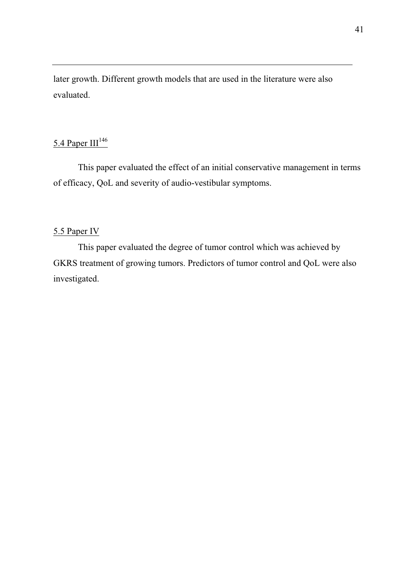later growth. Different growth models that are used in the literature were also evaluated.

## $5.4$  Paper III<sup>146</sup>

This paper evaluated the effect of an initial conservative management in terms of efficacy, QoL and severity of audio-vestibular symptoms.

### 5.5 Paper IV

This paper evaluated the degree of tumor control which was achieved by GKRS treatment of growing tumors. Predictors of tumor control and QoL were also investigated.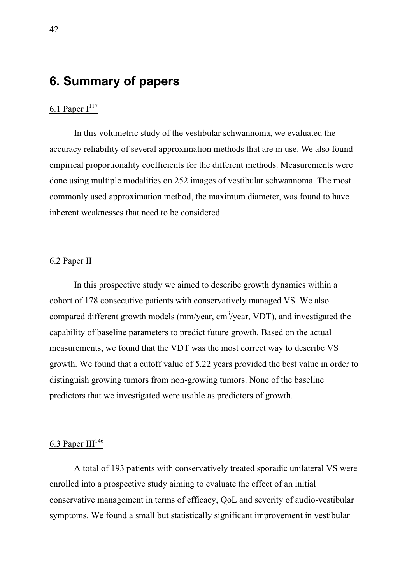# **6. Summary of papers**

## 6.1 Paper  $I^{117}$

In this volumetric study of the vestibular schwannoma, we evaluated the accuracy reliability of several approximation methods that are in use. We also found empirical proportionality coefficients for the different methods. Measurements were done using multiple modalities on 252 images of vestibular schwannoma. The most commonly used approximation method, the maximum diameter, was found to have inherent weaknesses that need to be considered.

#### 6.2 Paper II

In this prospective study we aimed to describe growth dynamics within a cohort of 178 consecutive patients with conservatively managed VS. We also compared different growth models ( $mm/year$ ,  $cm<sup>3</sup>/year$ , VDT), and investigated the capability of baseline parameters to predict future growth. Based on the actual measurements, we found that the VDT was the most correct way to describe VS growth. We found that a cutoff value of 5.22 years provided the best value in order to distinguish growing tumors from non-growing tumors. None of the baseline predictors that we investigated were usable as predictors of growth.

### 6.3 Paper  $III^{146}$

A total of 193 patients with conservatively treated sporadic unilateral VS were enrolled into a prospective study aiming to evaluate the effect of an initial conservative management in terms of efficacy, QoL and severity of audio-vestibular symptoms. We found a small but statistically significant improvement in vestibular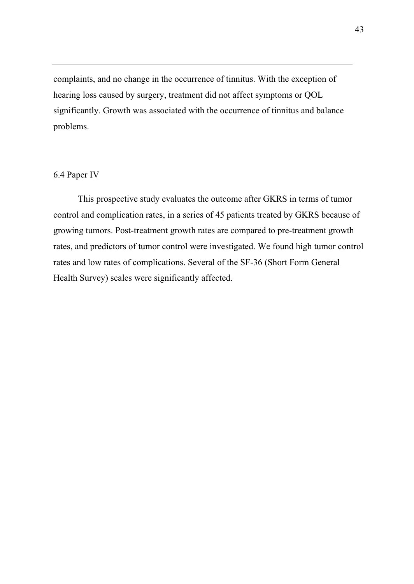complaints, and no change in the occurrence of tinnitus. With the exception of hearing loss caused by surgery, treatment did not affect symptoms or QOL significantly. Growth was associated with the occurrence of tinnitus and balance problems.

#### 6.4 Paper IV

This prospective study evaluates the outcome after GKRS in terms of tumor control and complication rates, in a series of 45 patients treated by GKRS because of growing tumors. Post-treatment growth rates are compared to pre-treatment growth rates, and predictors of tumor control were investigated. We found high tumor control rates and low rates of complications. Several of the SF-36 (Short Form General Health Survey) scales were significantly affected.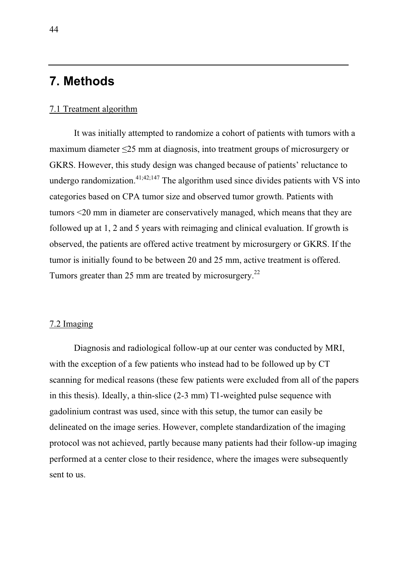# **7. Methods**

#### 7.1 Treatment algorithm

It was initially attempted to randomize a cohort of patients with tumors with a maximum diameter ≤25 mm at diagnosis, into treatment groups of microsurgery or GKRS. However, this study design was changed because of patients' reluctance to undergo randomization.<sup>41;42;147</sup> The algorithm used since divides patients with VS into categories based on CPA tumor size and observed tumor growth. Patients with tumors <20 mm in diameter are conservatively managed, which means that they are followed up at 1, 2 and 5 years with reimaging and clinical evaluation. If growth is observed, the patients are offered active treatment by microsurgery or GKRS. If the tumor is initially found to be between 20 and 25 mm, active treatment is offered. Tumors greater than 25 mm are treated by microsurgery. $^{22}$ 

### 7.2 Imaging

Diagnosis and radiological follow-up at our center was conducted by MRI, with the exception of a few patients who instead had to be followed up by CT scanning for medical reasons (these few patients were excluded from all of the papers in this thesis). Ideally, a thin-slice (2-3 mm) T1-weighted pulse sequence with gadolinium contrast was used, since with this setup, the tumor can easily be delineated on the image series. However, complete standardization of the imaging protocol was not achieved, partly because many patients had their follow-up imaging performed at a center close to their residence, where the images were subsequently sent to us.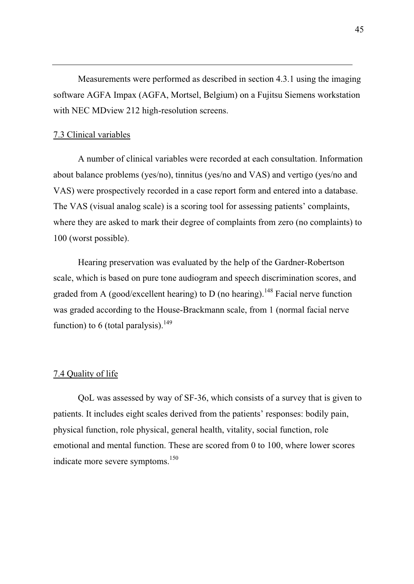Measurements were performed as described in section 4.3.1 using the imaging software AGFA Impax (AGFA, Mortsel, Belgium) on a Fujitsu Siemens workstation with NEC MDview 212 high-resolution screens.

#### 7.3 Clinical variables

A number of clinical variables were recorded at each consultation. Information about balance problems (yes/no), tinnitus (yes/no and VAS) and vertigo (yes/no and VAS) were prospectively recorded in a case report form and entered into a database. The VAS (visual analog scale) is a scoring tool for assessing patients' complaints, where they are asked to mark their degree of complaints from zero (no complaints) to 100 (worst possible).

Hearing preservation was evaluated by the help of the Gardner-Robertson scale, which is based on pure tone audiogram and speech discrimination scores, and graded from A (good/excellent hearing) to D (no hearing).<sup>148</sup> Facial nerve function was graded according to the House-Brackmann scale, from 1 (normal facial nerve function) to 6 (total paralysis).<sup>149</sup>

#### 7.4 Quality of life

QoL was assessed by way of SF-36, which consists of a survey that is given to patients. It includes eight scales derived from the patients' responses: bodily pain, physical function, role physical, general health, vitality, social function, role emotional and mental function. These are scored from 0 to 100, where lower scores indicate more severe symptoms.<sup>150</sup>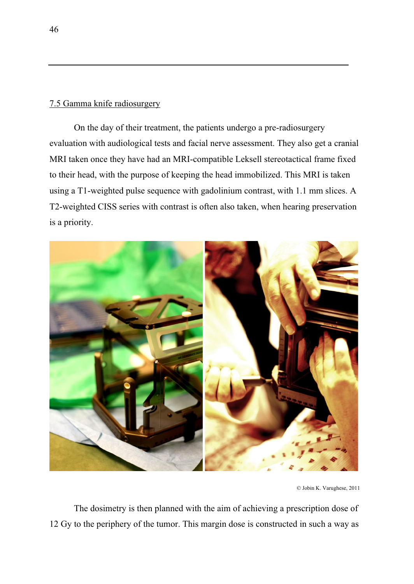#### 7.5 Gamma knife radiosurgery

On the day of their treatment, the patients undergo a pre-radiosurgery evaluation with audiological tests and facial nerve assessment. They also get a cranial MRI taken once they have had an MRI-compatible Leksell stereotactical frame fixed to their head, with the purpose of keeping the head immobilized. This MRI is taken using a T1-weighted pulse sequence with gadolinium contrast, with 1.1 mm slices. A T2-weighted CISS series with contrast is often also taken, when hearing preservation is a priority.



© Jobin K. Varughese, 2011

The dosimetry is then planned with the aim of achieving a prescription dose of 12 Gy to the periphery of the tumor. This margin dose is constructed in such a way as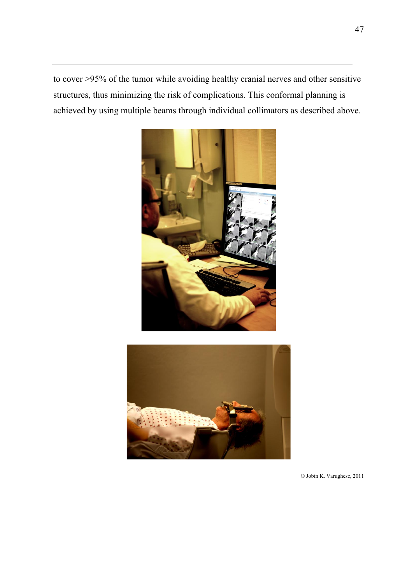to cover >95% of the tumor while avoiding healthy cranial nerves and other sensitive structures, thus minimizing the risk of complications. This conformal planning is achieved by using multiple beams through individual collimators as described above.





© Jobin K. Varughese, 2011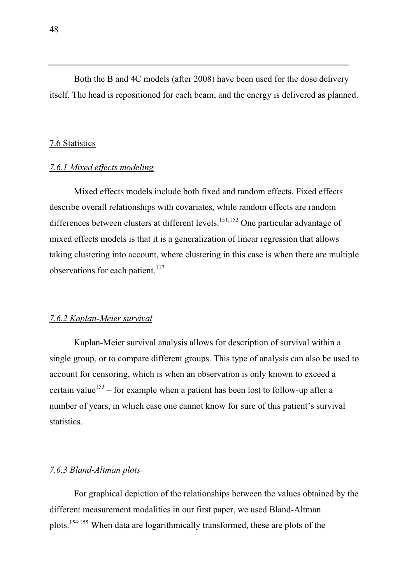Both the B and 4C models (after 2008) have been used for the dose delivery itself. The head is repositioned for each beam, and the energy is delivered as planned.

#### 7.6 Statistics

#### *7.6.1 Mixed effects modeling*

Mixed effects models include both fixed and random effects. Fixed effects describe overall relationships with covariates, while random effects are random differences between clusters at different levels.<sup>151;152</sup> One particular advantage of mixed effects models is that it is a generalization of linear regression that allows taking clustering into account, where clustering in this case is when there are multiple observations for each patient.<sup>117</sup>

#### *7.6.2 Kaplan-Meier survival*

Kaplan-Meier survival analysis allows for description of survival within a single group, or to compare different groups. This type of analysis can also be used to account for censoring, which is when an observation is only known to exceed a certain value<sup>153</sup> – for example when a patient has been lost to follow-up after a number of years, in which case one cannot know for sure of this patient's survival statistics.

#### *7.6.3 Bland-Altman plots*

For graphical depiction of the relationships between the values obtained by the different measurement modalities in our first paper, we used Bland-Altman plots.154;155 When data are logarithmically transformed, these are plots of the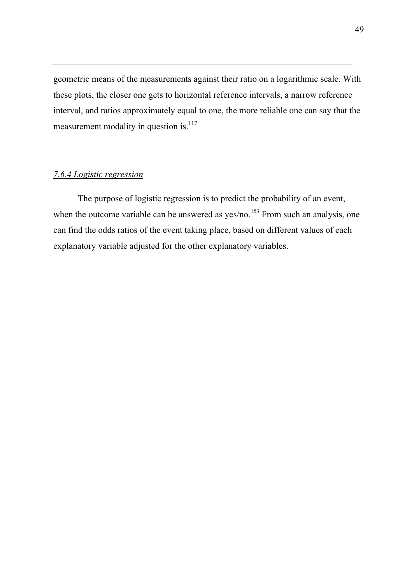geometric means of the measurements against their ratio on a logarithmic scale. With these plots, the closer one gets to horizontal reference intervals, a narrow reference interval, and ratios approximately equal to one, the more reliable one can say that the measurement modality in question is.<sup>117</sup>

#### *7.6.4 Logistic regression*

The purpose of logistic regression is to predict the probability of an event, when the outcome variable can be answered as  $yes/no$ .<sup>153</sup> From such an analysis, one can find the odds ratios of the event taking place, based on different values of each explanatory variable adjusted for the other explanatory variables.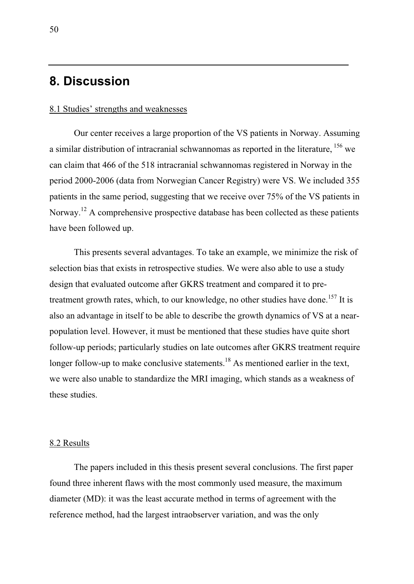# **8. Discussion**

#### 8.1 Studies' strengths and weaknesses

Our center receives a large proportion of the VS patients in Norway. Assuming a similar distribution of intracranial schwannomas as reported in the literature, 156 we can claim that 466 of the 518 intracranial schwannomas registered in Norway in the period 2000-2006 (data from Norwegian Cancer Registry) were VS. We included 355 patients in the same period, suggesting that we receive over 75% of the VS patients in Norway.<sup>12</sup> A comprehensive prospective database has been collected as these patients have been followed up.

This presents several advantages. To take an example, we minimize the risk of selection bias that exists in retrospective studies. We were also able to use a study design that evaluated outcome after GKRS treatment and compared it to pretreatment growth rates, which, to our knowledge, no other studies have done.<sup>157</sup> It is also an advantage in itself to be able to describe the growth dynamics of VS at a nearpopulation level. However, it must be mentioned that these studies have quite short follow-up periods; particularly studies on late outcomes after GKRS treatment require longer follow-up to make conclusive statements.<sup>18</sup> As mentioned earlier in the text, we were also unable to standardize the MRI imaging, which stands as a weakness of these studies.

#### 8.2 Results

The papers included in this thesis present several conclusions. The first paper found three inherent flaws with the most commonly used measure, the maximum diameter (MD): it was the least accurate method in terms of agreement with the reference method, had the largest intraobserver variation, and was the only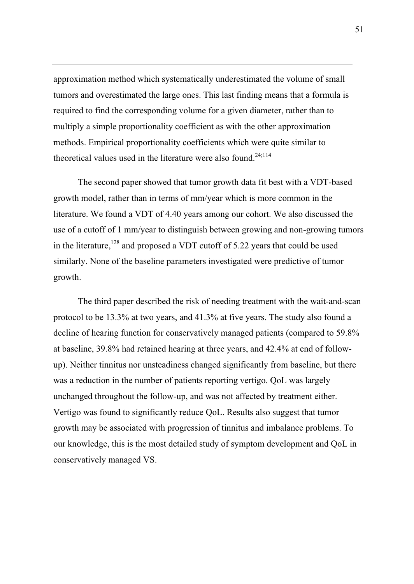approximation method which systematically underestimated the volume of small tumors and overestimated the large ones. This last finding means that a formula is required to find the corresponding volume for a given diameter, rather than to multiply a simple proportionality coefficient as with the other approximation methods. Empirical proportionality coefficients which were quite similar to theoretical values used in the literature were also found.<sup>24;114</sup>

The second paper showed that tumor growth data fit best with a VDT-based growth model, rather than in terms of mm/year which is more common in the literature. We found a VDT of 4.40 years among our cohort. We also discussed the use of a cutoff of 1 mm/year to distinguish between growing and non-growing tumors in the literature,<sup>128</sup> and proposed a VDT cutoff of 5.22 years that could be used similarly. None of the baseline parameters investigated were predictive of tumor growth.

The third paper described the risk of needing treatment with the wait-and-scan protocol to be 13.3% at two years, and 41.3% at five years. The study also found a decline of hearing function for conservatively managed patients (compared to 59.8% at baseline, 39.8% had retained hearing at three years, and 42.4% at end of followup). Neither tinnitus nor unsteadiness changed significantly from baseline, but there was a reduction in the number of patients reporting vertigo. QoL was largely unchanged throughout the follow-up, and was not affected by treatment either. Vertigo was found to significantly reduce QoL. Results also suggest that tumor growth may be associated with progression of tinnitus and imbalance problems. To our knowledge, this is the most detailed study of symptom development and QoL in conservatively managed VS.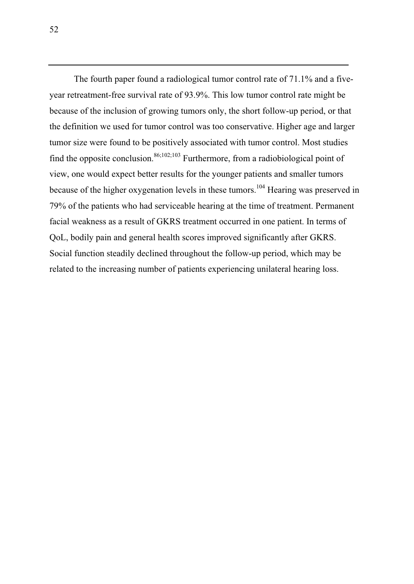The fourth paper found a radiological tumor control rate of 71.1% and a fiveyear retreatment-free survival rate of 93.9%. This low tumor control rate might be because of the inclusion of growing tumors only, the short follow-up period, or that the definition we used for tumor control was too conservative. Higher age and larger tumor size were found to be positively associated with tumor control. Most studies find the opposite conclusion.<sup>86;102;103</sup> Furthermore, from a radiobiological point of view, one would expect better results for the younger patients and smaller tumors because of the higher oxygenation levels in these tumors.<sup>104</sup> Hearing was preserved in 79% of the patients who had serviceable hearing at the time of treatment. Permanent facial weakness as a result of GKRS treatment occurred in one patient. In terms of QoL, bodily pain and general health scores improved significantly after GKRS. Social function steadily declined throughout the follow-up period, which may be related to the increasing number of patients experiencing unilateral hearing loss.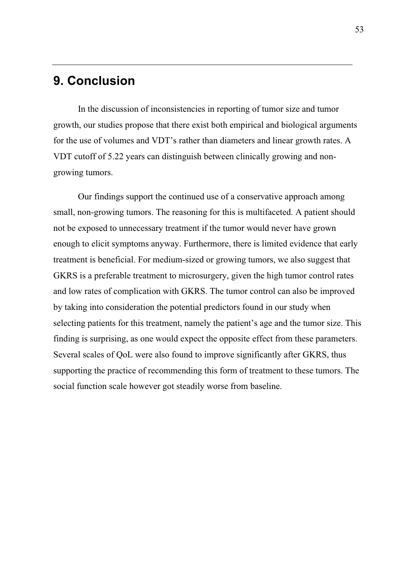## **9. Conclusion**

In the discussion of inconsistencies in reporting of tumor size and tumor growth, our studies propose that there exist both empirical and biological arguments for the use of volumes and VDT's rather than diameters and linear growth rates. A VDT cutoff of 5.22 years can distinguish between clinically growing and nongrowing tumors.

Our findings support the continued use of a conservative approach among small, non-growing tumors. The reasoning for this is multifaceted. A patient should not be exposed to unnecessary treatment if the tumor would never have grown enough to elicit symptoms anyway. Furthermore, there is limited evidence that early treatment is beneficial. For medium-sized or growing tumors, we also suggest that GKRS is a preferable treatment to microsurgery, given the high tumor control rates and low rates of complication with GKRS. The tumor control can also be improved by taking into consideration the potential predictors found in our study when selecting patients for this treatment, namely the patient's age and the tumor size. This finding is surprising, as one would expect the opposite effect from these parameters. Several scales of QoL were also found to improve significantly after GKRS, thus supporting the practice of recommending this form of treatment to these tumors. The social function scale however got steadily worse from baseline.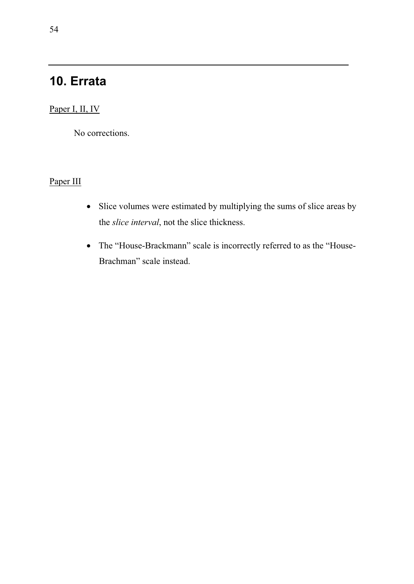# **10. Errata**

## Paper I, II, IV

No corrections.

### Paper III

- Slice volumes were estimated by multiplying the sums of slice areas by the *slice interval*, not the slice thickness.
- The "House-Brackmann" scale is incorrectly referred to as the "House-Brachman" scale instead.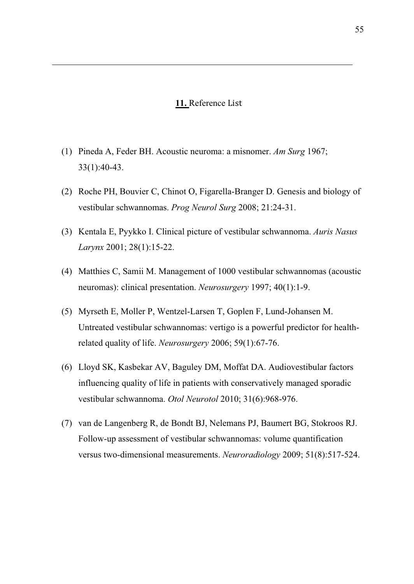### **11.** Reference List

- (1) Pineda A, Feder BH. Acoustic neuroma: a misnomer. *Am Surg* 1967; 33(1):40-43.
- (2) Roche PH, Bouvier C, Chinot O, Figarella-Branger D. Genesis and biology of vestibular schwannomas. *Prog Neurol Surg* 2008; 21:24-31.
- (3) Kentala E, Pyykko I. Clinical picture of vestibular schwannoma. *Auris Nasus Larynx* 2001; 28(1):15-22.
- (4) Matthies C, Samii M. Management of 1000 vestibular schwannomas (acoustic neuromas): clinical presentation. *Neurosurgery* 1997; 40(1):1-9.
- (5) Myrseth E, Moller P, Wentzel-Larsen T, Goplen F, Lund-Johansen M. Untreated vestibular schwannomas: vertigo is a powerful predictor for healthrelated quality of life. *Neurosurgery* 2006; 59(1):67-76.
- (6) Lloyd SK, Kasbekar AV, Baguley DM, Moffat DA. Audiovestibular factors influencing quality of life in patients with conservatively managed sporadic vestibular schwannoma. *Otol Neurotol* 2010; 31(6):968-976.
- (7) van de Langenberg R, de Bondt BJ, Nelemans PJ, Baumert BG, Stokroos RJ. Follow-up assessment of vestibular schwannomas: volume quantification versus two-dimensional measurements. *Neuroradiology* 2009; 51(8):517-524.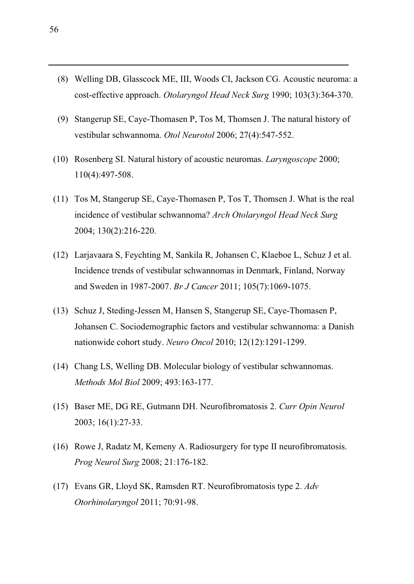- (8) Welling DB, Glasscock ME, III, Woods CI, Jackson CG. Acoustic neuroma: a cost-effective approach. *Otolaryngol Head Neck Surg* 1990; 103(3):364-370.
- (9) Stangerup SE, Caye-Thomasen P, Tos M, Thomsen J. The natural history of vestibular schwannoma. *Otol Neurotol* 2006; 27(4):547-552.
- (10) Rosenberg SI. Natural history of acoustic neuromas. *Laryngoscope* 2000; 110(4):497-508.
- (11) Tos M, Stangerup SE, Caye-Thomasen P, Tos T, Thomsen J. What is the real incidence of vestibular schwannoma? *Arch Otolaryngol Head Neck Surg* 2004; 130(2):216-220.
- (12) Larjavaara S, Feychting M, Sankila R, Johansen C, Klaeboe L, Schuz J et al. Incidence trends of vestibular schwannomas in Denmark, Finland, Norway and Sweden in 1987-2007. *Br J Cancer* 2011; 105(7):1069-1075.
- (13) Schuz J, Steding-Jessen M, Hansen S, Stangerup SE, Caye-Thomasen P, Johansen C. Sociodemographic factors and vestibular schwannoma: a Danish nationwide cohort study. *Neuro Oncol* 2010; 12(12):1291-1299.
- (14) Chang LS, Welling DB. Molecular biology of vestibular schwannomas. *Methods Mol Biol* 2009; 493:163-177.
- (15) Baser ME, DG RE, Gutmann DH. Neurofibromatosis 2. *Curr Opin Neurol* 2003; 16(1):27-33.
- (16) Rowe J, Radatz M, Kemeny A. Radiosurgery for type II neurofibromatosis. *Prog Neurol Surg* 2008; 21:176-182.
- (17) Evans GR, Lloyd SK, Ramsden RT. Neurofibromatosis type 2. *Adv Otorhinolaryngol* 2011; 70:91-98.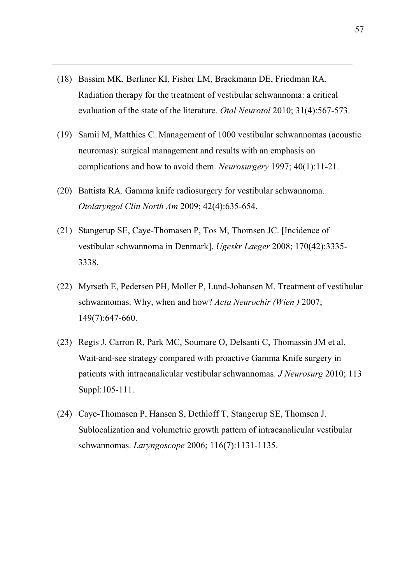- (18) Bassim MK, Berliner KI, Fisher LM, Brackmann DE, Friedman RA. Radiation therapy for the treatment of vestibular schwannoma: a critical evaluation of the state of the literature. *Otol Neurotol* 2010; 31(4):567-573.
- (19) Samii M, Matthies C. Management of 1000 vestibular schwannomas (acoustic neuromas): surgical management and results with an emphasis on complications and how to avoid them. *Neurosurgery* 1997; 40(1):11-21.
- (20) Battista RA. Gamma knife radiosurgery for vestibular schwannoma. *Otolaryngol Clin North Am* 2009; 42(4):635-654.
- (21) Stangerup SE, Caye-Thomasen P, Tos M, Thomsen JC. [Incidence of vestibular schwannoma in Denmark]. *Ugeskr Laeger* 2008; 170(42):3335- 3338.
- (22) Myrseth E, Pedersen PH, Moller P, Lund-Johansen M. Treatment of vestibular schwannomas. Why, when and how? *Acta Neurochir (Wien )* 2007; 149(7):647-660.
- (23) Regis J, Carron R, Park MC, Soumare O, Delsanti C, Thomassin JM et al. Wait-and-see strategy compared with proactive Gamma Knife surgery in patients with intracanalicular vestibular schwannomas. *J Neurosurg* 2010; 113 Suppl:105-111.
- (24) Caye-Thomasen P, Hansen S, Dethloff T, Stangerup SE, Thomsen J. Sublocalization and volumetric growth pattern of intracanalicular vestibular schwannomas. *Laryngoscope* 2006; 116(7):1131-1135.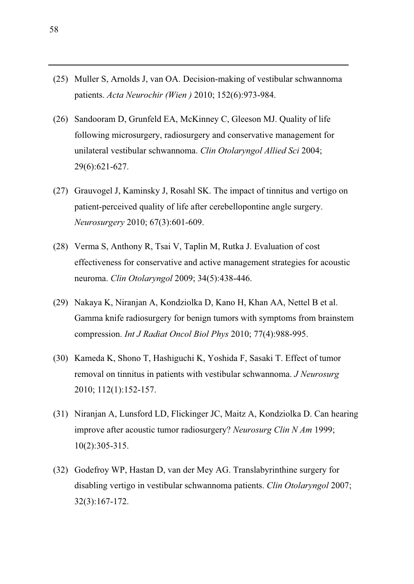- (25) Muller S, Arnolds J, van OA. Decision-making of vestibular schwannoma patients. *Acta Neurochir (Wien )* 2010; 152(6):973-984.
- (26) Sandooram D, Grunfeld EA, McKinney C, Gleeson MJ. Quality of life following microsurgery, radiosurgery and conservative management for unilateral vestibular schwannoma. *Clin Otolaryngol Allied Sci* 2004; 29(6):621-627.
- (27) Grauvogel J, Kaminsky J, Rosahl SK. The impact of tinnitus and vertigo on patient-perceived quality of life after cerebellopontine angle surgery. *Neurosurgery* 2010; 67(3):601-609.
- (28) Verma S, Anthony R, Tsai V, Taplin M, Rutka J. Evaluation of cost effectiveness for conservative and active management strategies for acoustic neuroma. *Clin Otolaryngol* 2009; 34(5):438-446.
- (29) Nakaya K, Niranjan A, Kondziolka D, Kano H, Khan AA, Nettel B et al. Gamma knife radiosurgery for benign tumors with symptoms from brainstem compression. *Int J Radiat Oncol Biol Phys* 2010; 77(4):988-995.
- (30) Kameda K, Shono T, Hashiguchi K, Yoshida F, Sasaki T. Effect of tumor removal on tinnitus in patients with vestibular schwannoma. *J Neurosurg* 2010; 112(1):152-157.
- (31) Niranjan A, Lunsford LD, Flickinger JC, Maitz A, Kondziolka D. Can hearing improve after acoustic tumor radiosurgery? *Neurosurg Clin N Am* 1999; 10(2):305-315.
- (32) Godefroy WP, Hastan D, van der Mey AG. Translabyrinthine surgery for disabling vertigo in vestibular schwannoma patients. *Clin Otolaryngol* 2007; 32(3):167-172.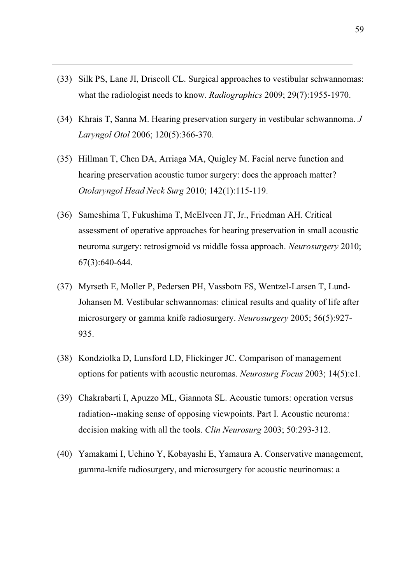- (33) Silk PS, Lane JI, Driscoll CL. Surgical approaches to vestibular schwannomas: what the radiologist needs to know. *Radiographics* 2009; 29(7):1955-1970.
- (34) Khrais T, Sanna M. Hearing preservation surgery in vestibular schwannoma. *J Laryngol Otol* 2006; 120(5):366-370.
- (35) Hillman T, Chen DA, Arriaga MA, Quigley M. Facial nerve function and hearing preservation acoustic tumor surgery: does the approach matter? *Otolaryngol Head Neck Surg* 2010; 142(1):115-119.
- (36) Sameshima T, Fukushima T, McElveen JT, Jr., Friedman AH. Critical assessment of operative approaches for hearing preservation in small acoustic neuroma surgery: retrosigmoid vs middle fossa approach. *Neurosurgery* 2010; 67(3):640-644.
- (37) Myrseth E, Moller P, Pedersen PH, Vassbotn FS, Wentzel-Larsen T, Lund-Johansen M. Vestibular schwannomas: clinical results and quality of life after microsurgery or gamma knife radiosurgery. *Neurosurgery* 2005; 56(5):927- 935.
- (38) Kondziolka D, Lunsford LD, Flickinger JC. Comparison of management options for patients with acoustic neuromas. *Neurosurg Focus* 2003; 14(5):e1.
- (39) Chakrabarti I, Apuzzo ML, Giannota SL. Acoustic tumors: operation versus radiation--making sense of opposing viewpoints. Part I. Acoustic neuroma: decision making with all the tools. *Clin Neurosurg* 2003; 50:293-312.
- (40) Yamakami I, Uchino Y, Kobayashi E, Yamaura A. Conservative management, gamma-knife radiosurgery, and microsurgery for acoustic neurinomas: a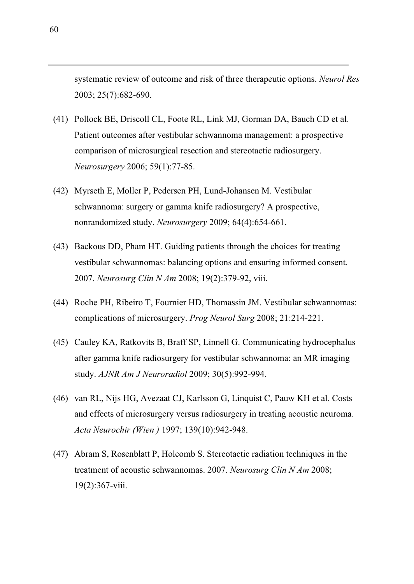systematic review of outcome and risk of three therapeutic options. *Neurol Res* 2003; 25(7):682-690.

- (41) Pollock BE, Driscoll CL, Foote RL, Link MJ, Gorman DA, Bauch CD et al. Patient outcomes after vestibular schwannoma management: a prospective comparison of microsurgical resection and stereotactic radiosurgery. *Neurosurgery* 2006; 59(1):77-85.
- (42) Myrseth E, Moller P, Pedersen PH, Lund-Johansen M. Vestibular schwannoma: surgery or gamma knife radiosurgery? A prospective, nonrandomized study. *Neurosurgery* 2009; 64(4):654-661.
- (43) Backous DD, Pham HT. Guiding patients through the choices for treating vestibular schwannomas: balancing options and ensuring informed consent. 2007. *Neurosurg Clin N Am* 2008; 19(2):379-92, viii.
- (44) Roche PH, Ribeiro T, Fournier HD, Thomassin JM. Vestibular schwannomas: complications of microsurgery. *Prog Neurol Surg* 2008; 21:214-221.
- (45) Cauley KA, Ratkovits B, Braff SP, Linnell G. Communicating hydrocephalus after gamma knife radiosurgery for vestibular schwannoma: an MR imaging study. *AJNR Am J Neuroradiol* 2009; 30(5):992-994.
- (46) van RL, Nijs HG, Avezaat CJ, Karlsson G, Linquist C, Pauw KH et al. Costs and effects of microsurgery versus radiosurgery in treating acoustic neuroma. *Acta Neurochir (Wien )* 1997; 139(10):942-948.
- (47) Abram S, Rosenblatt P, Holcomb S. Stereotactic radiation techniques in the treatment of acoustic schwannomas. 2007. *Neurosurg Clin N Am* 2008; 19(2):367-viii.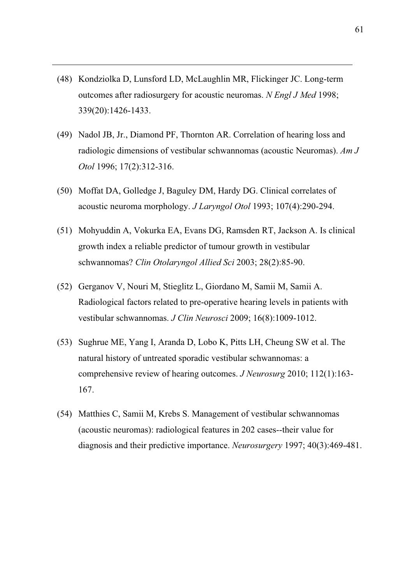- (48) Kondziolka D, Lunsford LD, McLaughlin MR, Flickinger JC. Long-term outcomes after radiosurgery for acoustic neuromas. *N Engl J Med* 1998; 339(20):1426-1433.
- (49) Nadol JB, Jr., Diamond PF, Thornton AR. Correlation of hearing loss and radiologic dimensions of vestibular schwannomas (acoustic Neuromas). *Am J Otol* 1996; 17(2):312-316.
- (50) Moffat DA, Golledge J, Baguley DM, Hardy DG. Clinical correlates of acoustic neuroma morphology. *J Laryngol Otol* 1993; 107(4):290-294.
- (51) Mohyuddin A, Vokurka EA, Evans DG, Ramsden RT, Jackson A. Is clinical growth index a reliable predictor of tumour growth in vestibular schwannomas? *Clin Otolaryngol Allied Sci* 2003; 28(2):85-90.
- (52) Gerganov V, Nouri M, Stieglitz L, Giordano M, Samii M, Samii A. Radiological factors related to pre-operative hearing levels in patients with vestibular schwannomas. *J Clin Neurosci* 2009; 16(8):1009-1012.
- (53) Sughrue ME, Yang I, Aranda D, Lobo K, Pitts LH, Cheung SW et al. The natural history of untreated sporadic vestibular schwannomas: a comprehensive review of hearing outcomes. *J Neurosurg* 2010; 112(1):163- 167.
- (54) Matthies C, Samii M, Krebs S. Management of vestibular schwannomas (acoustic neuromas): radiological features in 202 cases--their value for diagnosis and their predictive importance. *Neurosurgery* 1997; 40(3):469-481.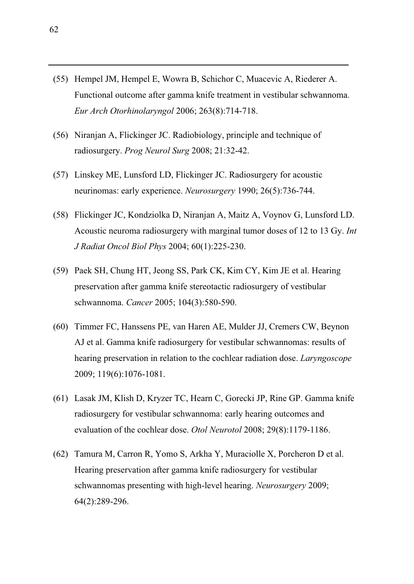- (55) Hempel JM, Hempel E, Wowra B, Schichor C, Muacevic A, Riederer A. Functional outcome after gamma knife treatment in vestibular schwannoma. *Eur Arch Otorhinolaryngol* 2006; 263(8):714-718.
- (56) Niranjan A, Flickinger JC. Radiobiology, principle and technique of radiosurgery. *Prog Neurol Surg* 2008; 21:32-42.
- (57) Linskey ME, Lunsford LD, Flickinger JC. Radiosurgery for acoustic neurinomas: early experience. *Neurosurgery* 1990; 26(5):736-744.
- (58) Flickinger JC, Kondziolka D, Niranjan A, Maitz A, Voynov G, Lunsford LD. Acoustic neuroma radiosurgery with marginal tumor doses of 12 to 13 Gy. *Int J Radiat Oncol Biol Phys* 2004; 60(1):225-230.
- (59) Paek SH, Chung HT, Jeong SS, Park CK, Kim CY, Kim JE et al. Hearing preservation after gamma knife stereotactic radiosurgery of vestibular schwannoma. *Cancer* 2005; 104(3):580-590.
- (60) Timmer FC, Hanssens PE, van Haren AE, Mulder JJ, Cremers CW, Beynon AJ et al. Gamma knife radiosurgery for vestibular schwannomas: results of hearing preservation in relation to the cochlear radiation dose. *Laryngoscope* 2009; 119(6):1076-1081.
- (61) Lasak JM, Klish D, Kryzer TC, Hearn C, Gorecki JP, Rine GP. Gamma knife radiosurgery for vestibular schwannoma: early hearing outcomes and evaluation of the cochlear dose. *Otol Neurotol* 2008; 29(8):1179-1186.
- (62) Tamura M, Carron R, Yomo S, Arkha Y, Muraciolle X, Porcheron D et al. Hearing preservation after gamma knife radiosurgery for vestibular schwannomas presenting with high-level hearing. *Neurosurgery* 2009; 64(2):289-296.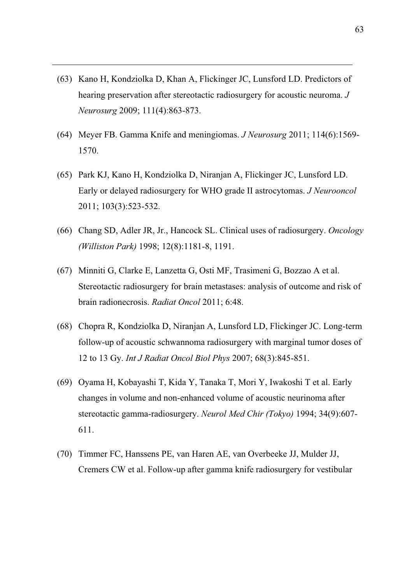- (63) Kano H, Kondziolka D, Khan A, Flickinger JC, Lunsford LD. Predictors of hearing preservation after stereotactic radiosurgery for acoustic neuroma. *J Neurosurg* 2009; 111(4):863-873.
- (64) Meyer FB. Gamma Knife and meningiomas. *J Neurosurg* 2011; 114(6):1569- 1570.
- (65) Park KJ, Kano H, Kondziolka D, Niranjan A, Flickinger JC, Lunsford LD. Early or delayed radiosurgery for WHO grade II astrocytomas. *J Neurooncol* 2011; 103(3):523-532.
- (66) Chang SD, Adler JR, Jr., Hancock SL. Clinical uses of radiosurgery. *Oncology (Williston Park)* 1998; 12(8):1181-8, 1191.
- (67) Minniti G, Clarke E, Lanzetta G, Osti MF, Trasimeni G, Bozzao A et al. Stereotactic radiosurgery for brain metastases: analysis of outcome and risk of brain radionecrosis. *Radiat Oncol* 2011; 6:48.
- (68) Chopra R, Kondziolka D, Niranjan A, Lunsford LD, Flickinger JC. Long-term follow-up of acoustic schwannoma radiosurgery with marginal tumor doses of 12 to 13 Gy. *Int J Radiat Oncol Biol Phys* 2007; 68(3):845-851.
- (69) Oyama H, Kobayashi T, Kida Y, Tanaka T, Mori Y, Iwakoshi T et al. Early changes in volume and non-enhanced volume of acoustic neurinoma after stereotactic gamma-radiosurgery. *Neurol Med Chir (Tokyo)* 1994; 34(9):607- 611.
- (70) Timmer FC, Hanssens PE, van Haren AE, van Overbeeke JJ, Mulder JJ, Cremers CW et al. Follow-up after gamma knife radiosurgery for vestibular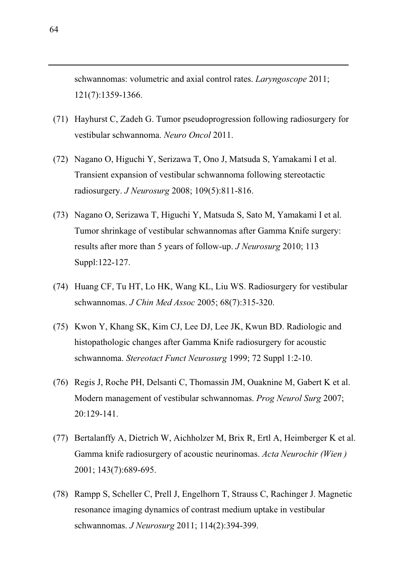schwannomas: volumetric and axial control rates. *Laryngoscope* 2011; 121(7):1359-1366.

- (71) Hayhurst C, Zadeh G. Tumor pseudoprogression following radiosurgery for vestibular schwannoma. *Neuro Oncol* 2011.
- (72) Nagano O, Higuchi Y, Serizawa T, Ono J, Matsuda S, Yamakami I et al. Transient expansion of vestibular schwannoma following stereotactic radiosurgery. *J Neurosurg* 2008; 109(5):811-816.
- (73) Nagano O, Serizawa T, Higuchi Y, Matsuda S, Sato M, Yamakami I et al. Tumor shrinkage of vestibular schwannomas after Gamma Knife surgery: results after more than 5 years of follow-up. *J Neurosurg* 2010; 113 Suppl:122-127.
- (74) Huang CF, Tu HT, Lo HK, Wang KL, Liu WS. Radiosurgery for vestibular schwannomas. *J Chin Med Assoc* 2005; 68(7):315-320.
- (75) Kwon Y, Khang SK, Kim CJ, Lee DJ, Lee JK, Kwun BD. Radiologic and histopathologic changes after Gamma Knife radiosurgery for acoustic schwannoma. *Stereotact Funct Neurosurg* 1999; 72 Suppl 1:2-10.
- (76) Regis J, Roche PH, Delsanti C, Thomassin JM, Ouaknine M, Gabert K et al. Modern management of vestibular schwannomas. *Prog Neurol Surg* 2007; 20:129-141.
- (77) Bertalanffy A, Dietrich W, Aichholzer M, Brix R, Ertl A, Heimberger K et al. Gamma knife radiosurgery of acoustic neurinomas. *Acta Neurochir (Wien )* 2001; 143(7):689-695.
- (78) Rampp S, Scheller C, Prell J, Engelhorn T, Strauss C, Rachinger J. Magnetic resonance imaging dynamics of contrast medium uptake in vestibular schwannomas. *J Neurosurg* 2011; 114(2):394-399.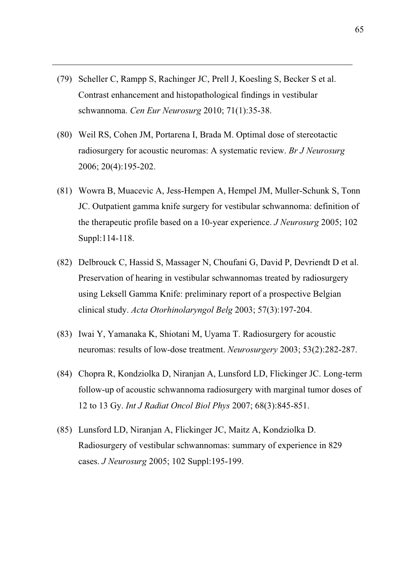- (79) Scheller C, Rampp S, Rachinger JC, Prell J, Koesling S, Becker S et al. Contrast enhancement and histopathological findings in vestibular schwannoma. *Cen Eur Neurosurg* 2010; 71(1):35-38.
- (80) Weil RS, Cohen JM, Portarena I, Brada M. Optimal dose of stereotactic radiosurgery for acoustic neuromas: A systematic review. *Br J Neurosurg* 2006; 20(4):195-202.
- (81) Wowra B, Muacevic A, Jess-Hempen A, Hempel JM, Muller-Schunk S, Tonn JC. Outpatient gamma knife surgery for vestibular schwannoma: definition of the therapeutic profile based on a 10-year experience. *J Neurosurg* 2005; 102 Suppl:114-118.
- (82) Delbrouck C, Hassid S, Massager N, Choufani G, David P, Devriendt D et al. Preservation of hearing in vestibular schwannomas treated by radiosurgery using Leksell Gamma Knife: preliminary report of a prospective Belgian clinical study. *Acta Otorhinolaryngol Belg* 2003; 57(3):197-204.
- (83) Iwai Y, Yamanaka K, Shiotani M, Uyama T. Radiosurgery for acoustic neuromas: results of low-dose treatment. *Neurosurgery* 2003; 53(2):282-287.
- (84) Chopra R, Kondziolka D, Niranjan A, Lunsford LD, Flickinger JC. Long-term follow-up of acoustic schwannoma radiosurgery with marginal tumor doses of 12 to 13 Gy. *Int J Radiat Oncol Biol Phys* 2007; 68(3):845-851.
- (85) Lunsford LD, Niranjan A, Flickinger JC, Maitz A, Kondziolka D. Radiosurgery of vestibular schwannomas: summary of experience in 829 cases. *J Neurosurg* 2005; 102 Suppl:195-199.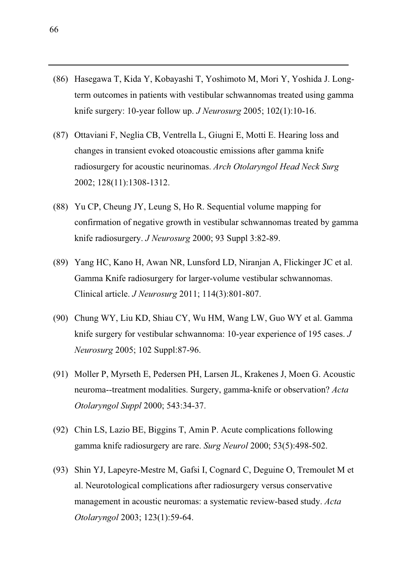- (86) Hasegawa T, Kida Y, Kobayashi T, Yoshimoto M, Mori Y, Yoshida J. Longterm outcomes in patients with vestibular schwannomas treated using gamma knife surgery: 10-year follow up. *J Neurosurg* 2005; 102(1):10-16.
- (87) Ottaviani F, Neglia CB, Ventrella L, Giugni E, Motti E. Hearing loss and changes in transient evoked otoacoustic emissions after gamma knife radiosurgery for acoustic neurinomas. *Arch Otolaryngol Head Neck Surg* 2002; 128(11):1308-1312.
- (88) Yu CP, Cheung JY, Leung S, Ho R. Sequential volume mapping for confirmation of negative growth in vestibular schwannomas treated by gamma knife radiosurgery. *J Neurosurg* 2000; 93 Suppl 3:82-89.
- (89) Yang HC, Kano H, Awan NR, Lunsford LD, Niranjan A, Flickinger JC et al. Gamma Knife radiosurgery for larger-volume vestibular schwannomas. Clinical article. *J Neurosurg* 2011; 114(3):801-807.
- (90) Chung WY, Liu KD, Shiau CY, Wu HM, Wang LW, Guo WY et al. Gamma knife surgery for vestibular schwannoma: 10-year experience of 195 cases. *J Neurosurg* 2005; 102 Suppl:87-96.
- (91) Moller P, Myrseth E, Pedersen PH, Larsen JL, Krakenes J, Moen G. Acoustic neuroma--treatment modalities. Surgery, gamma-knife or observation? *Acta Otolaryngol Suppl* 2000; 543:34-37.
- (92) Chin LS, Lazio BE, Biggins T, Amin P. Acute complications following gamma knife radiosurgery are rare. *Surg Neurol* 2000; 53(5):498-502.
- (93) Shin YJ, Lapeyre-Mestre M, Gafsi I, Cognard C, Deguine O, Tremoulet M et al. Neurotological complications after radiosurgery versus conservative management in acoustic neuromas: a systematic review-based study. *Acta Otolaryngol* 2003; 123(1):59-64.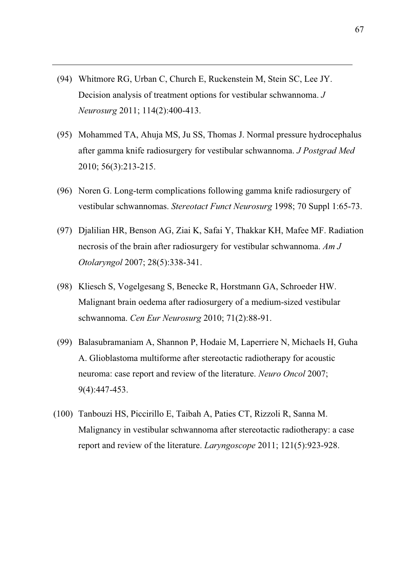- (94) Whitmore RG, Urban C, Church E, Ruckenstein M, Stein SC, Lee JY. Decision analysis of treatment options for vestibular schwannoma. *J Neurosurg* 2011; 114(2):400-413.
- (95) Mohammed TA, Ahuja MS, Ju SS, Thomas J. Normal pressure hydrocephalus after gamma knife radiosurgery for vestibular schwannoma. *J Postgrad Med* 2010; 56(3):213-215.
- (96) Noren G. Long-term complications following gamma knife radiosurgery of vestibular schwannomas. *Stereotact Funct Neurosurg* 1998; 70 Suppl 1:65-73.
- (97) Djalilian HR, Benson AG, Ziai K, Safai Y, Thakkar KH, Mafee MF. Radiation necrosis of the brain after radiosurgery for vestibular schwannoma. *Am J Otolaryngol* 2007; 28(5):338-341.
- (98) Kliesch S, Vogelgesang S, Benecke R, Horstmann GA, Schroeder HW. Malignant brain oedema after radiosurgery of a medium-sized vestibular schwannoma. *Cen Eur Neurosurg* 2010; 71(2):88-91.
- (99) Balasubramaniam A, Shannon P, Hodaie M, Laperriere N, Michaels H, Guha A. Glioblastoma multiforme after stereotactic radiotherapy for acoustic neuroma: case report and review of the literature. *Neuro Oncol* 2007; 9(4):447-453.
- (100) Tanbouzi HS, Piccirillo E, Taibah A, Paties CT, Rizzoli R, Sanna M. Malignancy in vestibular schwannoma after stereotactic radiotherapy: a case report and review of the literature. *Laryngoscope* 2011; 121(5):923-928.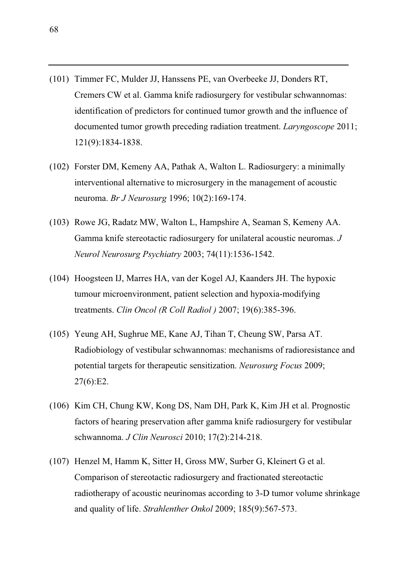- (101) Timmer FC, Mulder JJ, Hanssens PE, van Overbeeke JJ, Donders RT, Cremers CW et al. Gamma knife radiosurgery for vestibular schwannomas: identification of predictors for continued tumor growth and the influence of documented tumor growth preceding radiation treatment. *Laryngoscope* 2011; 121(9):1834-1838.
- (102) Forster DM, Kemeny AA, Pathak A, Walton L. Radiosurgery: a minimally interventional alternative to microsurgery in the management of acoustic neuroma. *Br J Neurosurg* 1996; 10(2):169-174.
- (103) Rowe JG, Radatz MW, Walton L, Hampshire A, Seaman S, Kemeny AA. Gamma knife stereotactic radiosurgery for unilateral acoustic neuromas. *J Neurol Neurosurg Psychiatry* 2003; 74(11):1536-1542.
- (104) Hoogsteen IJ, Marres HA, van der Kogel AJ, Kaanders JH. The hypoxic tumour microenvironment, patient selection and hypoxia-modifying treatments. *Clin Oncol (R Coll Radiol )* 2007; 19(6):385-396.
- (105) Yeung AH, Sughrue ME, Kane AJ, Tihan T, Cheung SW, Parsa AT. Radiobiology of vestibular schwannomas: mechanisms of radioresistance and potential targets for therapeutic sensitization. *Neurosurg Focus* 2009; 27(6):E2.
- (106) Kim CH, Chung KW, Kong DS, Nam DH, Park K, Kim JH et al. Prognostic factors of hearing preservation after gamma knife radiosurgery for vestibular schwannoma. *J Clin Neurosci* 2010; 17(2):214-218.
- (107) Henzel M, Hamm K, Sitter H, Gross MW, Surber G, Kleinert G et al. Comparison of stereotactic radiosurgery and fractionated stereotactic radiotherapy of acoustic neurinomas according to 3-D tumor volume shrinkage and quality of life. *Strahlenther Onkol* 2009; 185(9):567-573.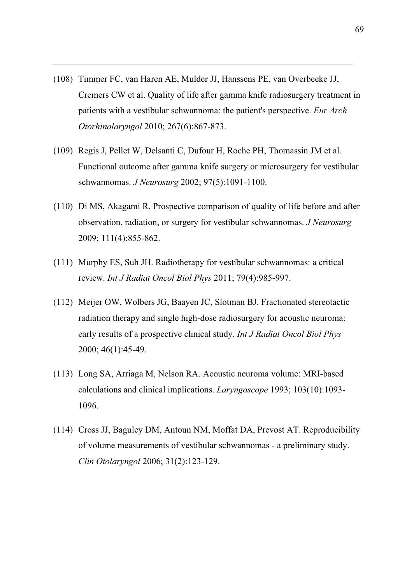- (108) Timmer FC, van Haren AE, Mulder JJ, Hanssens PE, van Overbeeke JJ, Cremers CW et al. Quality of life after gamma knife radiosurgery treatment in patients with a vestibular schwannoma: the patient's perspective. *Eur Arch Otorhinolaryngol* 2010; 267(6):867-873.
- (109) Regis J, Pellet W, Delsanti C, Dufour H, Roche PH, Thomassin JM et al. Functional outcome after gamma knife surgery or microsurgery for vestibular schwannomas. *J Neurosurg* 2002; 97(5):1091-1100.
- (110) Di MS, Akagami R. Prospective comparison of quality of life before and after observation, radiation, or surgery for vestibular schwannomas. *J Neurosurg* 2009; 111(4):855-862.
- (111) Murphy ES, Suh JH. Radiotherapy for vestibular schwannomas: a critical review. *Int J Radiat Oncol Biol Phys* 2011; 79(4):985-997.
- (112) Meijer OW, Wolbers JG, Baayen JC, Slotman BJ. Fractionated stereotactic radiation therapy and single high-dose radiosurgery for acoustic neuroma: early results of a prospective clinical study. *Int J Radiat Oncol Biol Phys* 2000; 46(1):45-49.
- (113) Long SA, Arriaga M, Nelson RA. Acoustic neuroma volume: MRI-based calculations and clinical implications. *Laryngoscope* 1993; 103(10):1093- 1096.
- (114) Cross JJ, Baguley DM, Antoun NM, Moffat DA, Prevost AT. Reproducibility of volume measurements of vestibular schwannomas - a preliminary study. *Clin Otolaryngol* 2006; 31(2):123-129.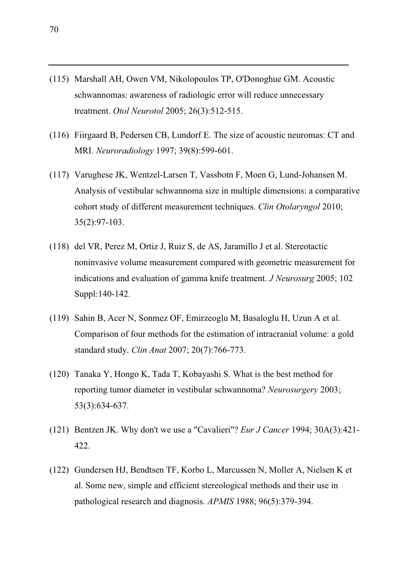- (115) Marshall AH, Owen VM, Nikolopoulos TP, O'Donoghue GM. Acoustic schwannomas: awareness of radiologic error will reduce unnecessary treatment. *Otol Neurotol* 2005; 26(3):512-515.
- (116) Fiirgaard B, Pedersen CB, Lundorf E. The size of acoustic neuromas: CT and MRI. *Neuroradiology* 1997; 39(8):599-601.
- (117) Varughese JK, Wentzel-Larsen T, Vassbotn F, Moen G, Lund-Johansen M. Analysis of vestibular schwannoma size in multiple dimensions: a comparative cohort study of different measurement techniques. *Clin Otolaryngol* 2010; 35(2):97-103.
- (118) del VR, Perez M, Ortiz J, Ruiz S, de AS, Jaramillo J et al. Stereotactic noninvasive volume measurement compared with geometric measurement for indications and evaluation of gamma knife treatment. *J Neurosurg* 2005; 102 Suppl:140-142.
- (119) Sahin B, Acer N, Sonmez OF, Emirzeoglu M, Basaloglu H, Uzun A et al. Comparison of four methods for the estimation of intracranial volume: a gold standard study. *Clin Anat* 2007; 20(7):766-773.
- (120) Tanaka Y, Hongo K, Tada T, Kobayashi S. What is the best method for reporting tumor diameter in vestibular schwannoma? *Neurosurgery* 2003; 53(3):634-637.
- (121) Bentzen JK. Why don't we use a "Cavalieri"? *Eur J Cancer* 1994; 30A(3):421- 422.
- (122) Gundersen HJ, Bendtsen TF, Korbo L, Marcussen N, Moller A, Nielsen K et al. Some new, simple and efficient stereological methods and their use in pathological research and diagnosis. *APMIS* 1988; 96(5):379-394.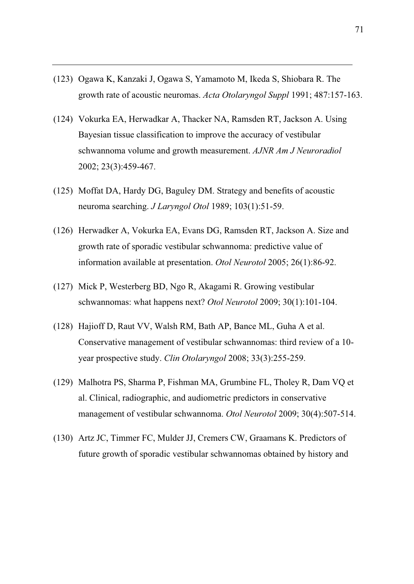- (123) Ogawa K, Kanzaki J, Ogawa S, Yamamoto M, Ikeda S, Shiobara R. The growth rate of acoustic neuromas. *Acta Otolaryngol Suppl* 1991; 487:157-163.
- (124) Vokurka EA, Herwadkar A, Thacker NA, Ramsden RT, Jackson A. Using Bayesian tissue classification to improve the accuracy of vestibular schwannoma volume and growth measurement. *AJNR Am J Neuroradiol* 2002; 23(3):459-467.
- (125) Moffat DA, Hardy DG, Baguley DM. Strategy and benefits of acoustic neuroma searching. *J Laryngol Otol* 1989; 103(1):51-59.
- (126) Herwadker A, Vokurka EA, Evans DG, Ramsden RT, Jackson A. Size and growth rate of sporadic vestibular schwannoma: predictive value of information available at presentation. *Otol Neurotol* 2005; 26(1):86-92.
- (127) Mick P, Westerberg BD, Ngo R, Akagami R. Growing vestibular schwannomas: what happens next? *Otol Neurotol* 2009; 30(1):101-104.
- (128) Hajioff D, Raut VV, Walsh RM, Bath AP, Bance ML, Guha A et al. Conservative management of vestibular schwannomas: third review of a 10 year prospective study. *Clin Otolaryngol* 2008; 33(3):255-259.
- (129) Malhotra PS, Sharma P, Fishman MA, Grumbine FL, Tholey R, Dam VQ et al. Clinical, radiographic, and audiometric predictors in conservative management of vestibular schwannoma. *Otol Neurotol* 2009; 30(4):507-514.
- (130) Artz JC, Timmer FC, Mulder JJ, Cremers CW, Graamans K. Predictors of future growth of sporadic vestibular schwannomas obtained by history and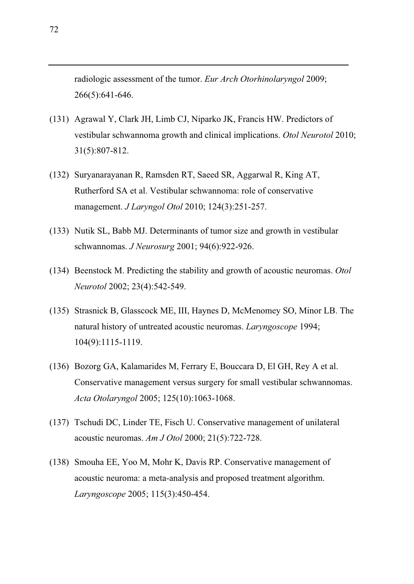radiologic assessment of the tumor. *Eur Arch Otorhinolaryngol* 2009; 266(5):641-646.

- (131) Agrawal Y, Clark JH, Limb CJ, Niparko JK, Francis HW. Predictors of vestibular schwannoma growth and clinical implications. *Otol Neurotol* 2010; 31(5):807-812.
- (132) Suryanarayanan R, Ramsden RT, Saeed SR, Aggarwal R, King AT, Rutherford SA et al. Vestibular schwannoma: role of conservative management. *J Laryngol Otol* 2010; 124(3):251-257.
- (133) Nutik SL, Babb MJ. Determinants of tumor size and growth in vestibular schwannomas. *J Neurosurg* 2001; 94(6):922-926.
- (134) Beenstock M. Predicting the stability and growth of acoustic neuromas. *Otol Neurotol* 2002; 23(4):542-549.
- (135) Strasnick B, Glasscock ME, III, Haynes D, McMenomey SO, Minor LB. The natural history of untreated acoustic neuromas. *Laryngoscope* 1994; 104(9):1115-1119.
- (136) Bozorg GA, Kalamarides M, Ferrary E, Bouccara D, El GH, Rey A et al. Conservative management versus surgery for small vestibular schwannomas. *Acta Otolaryngol* 2005; 125(10):1063-1068.
- (137) Tschudi DC, Linder TE, Fisch U. Conservative management of unilateral acoustic neuromas. *Am J Otol* 2000; 21(5):722-728.
- (138) Smouha EE, Yoo M, Mohr K, Davis RP. Conservative management of acoustic neuroma: a meta-analysis and proposed treatment algorithm. *Laryngoscope* 2005; 115(3):450-454.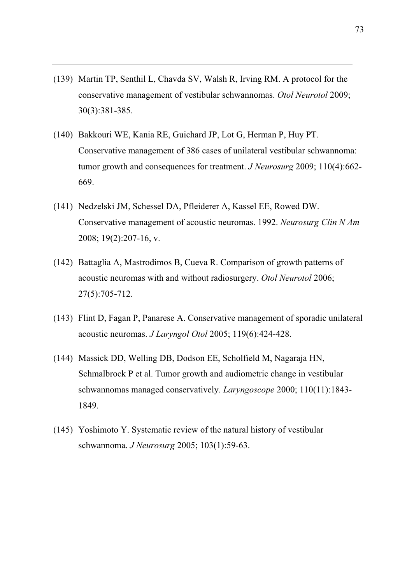- (139) Martin TP, Senthil L, Chavda SV, Walsh R, Irving RM. A protocol for the conservative management of vestibular schwannomas. *Otol Neurotol* 2009; 30(3):381-385.
- (140) Bakkouri WE, Kania RE, Guichard JP, Lot G, Herman P, Huy PT. Conservative management of 386 cases of unilateral vestibular schwannoma: tumor growth and consequences for treatment. *J Neurosurg* 2009; 110(4):662- 669.
- (141) Nedzelski JM, Schessel DA, Pfleiderer A, Kassel EE, Rowed DW. Conservative management of acoustic neuromas. 1992. *Neurosurg Clin N Am* 2008; 19(2):207-16, v.
- (142) Battaglia A, Mastrodimos B, Cueva R. Comparison of growth patterns of acoustic neuromas with and without radiosurgery. *Otol Neurotol* 2006; 27(5):705-712.
- (143) Flint D, Fagan P, Panarese A. Conservative management of sporadic unilateral acoustic neuromas. *J Laryngol Otol* 2005; 119(6):424-428.
- (144) Massick DD, Welling DB, Dodson EE, Scholfield M, Nagaraja HN, Schmalbrock P et al. Tumor growth and audiometric change in vestibular schwannomas managed conservatively. *Laryngoscope* 2000; 110(11):1843- 1849.
- (145) Yoshimoto Y. Systematic review of the natural history of vestibular schwannoma. *J Neurosurg* 2005; 103(1):59-63.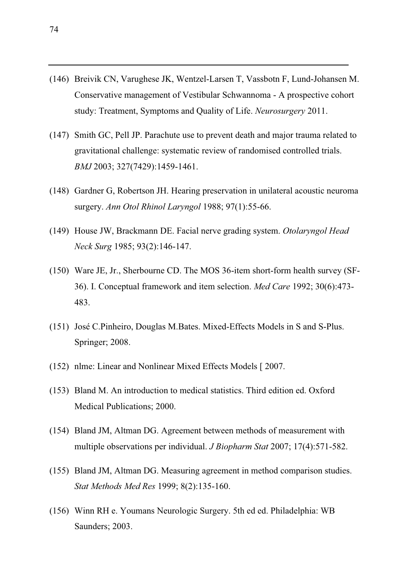- (146) Breivik CN, Varughese JK, Wentzel-Larsen T, Vassbotn F, Lund-Johansen M. Conservative management of Vestibular Schwannoma - A prospective cohort study: Treatment, Symptoms and Quality of Life. *Neurosurgery* 2011.
- (147) Smith GC, Pell JP. Parachute use to prevent death and major trauma related to gravitational challenge: systematic review of randomised controlled trials. *BMJ* 2003; 327(7429):1459-1461.
- (148) Gardner G, Robertson JH. Hearing preservation in unilateral acoustic neuroma surgery. *Ann Otol Rhinol Laryngol* 1988; 97(1):55-66.
- (149) House JW, Brackmann DE. Facial nerve grading system. *Otolaryngol Head Neck Surg* 1985; 93(2):146-147.
- (150) Ware JE, Jr., Sherbourne CD. The MOS 36-item short-form health survey (SF-36). I. Conceptual framework and item selection. *Med Care* 1992; 30(6):473- 483.
- (151) José C.Pinheiro, Douglas M.Bates. Mixed-Effects Models in S and S-Plus. Springer; 2008.
- (152) nlme: Linear and Nonlinear Mixed Effects Models [ 2007.
- (153) Bland M. An introduction to medical statistics. Third edition ed. Oxford Medical Publications; 2000.
- (154) Bland JM, Altman DG. Agreement between methods of measurement with multiple observations per individual. *J Biopharm Stat* 2007; 17(4):571-582.
- (155) Bland JM, Altman DG. Measuring agreement in method comparison studies. *Stat Methods Med Res* 1999; 8(2):135-160.
- (156) Winn RH e. Youmans Neurologic Surgery. 5th ed ed. Philadelphia: WB Saunders; 2003.